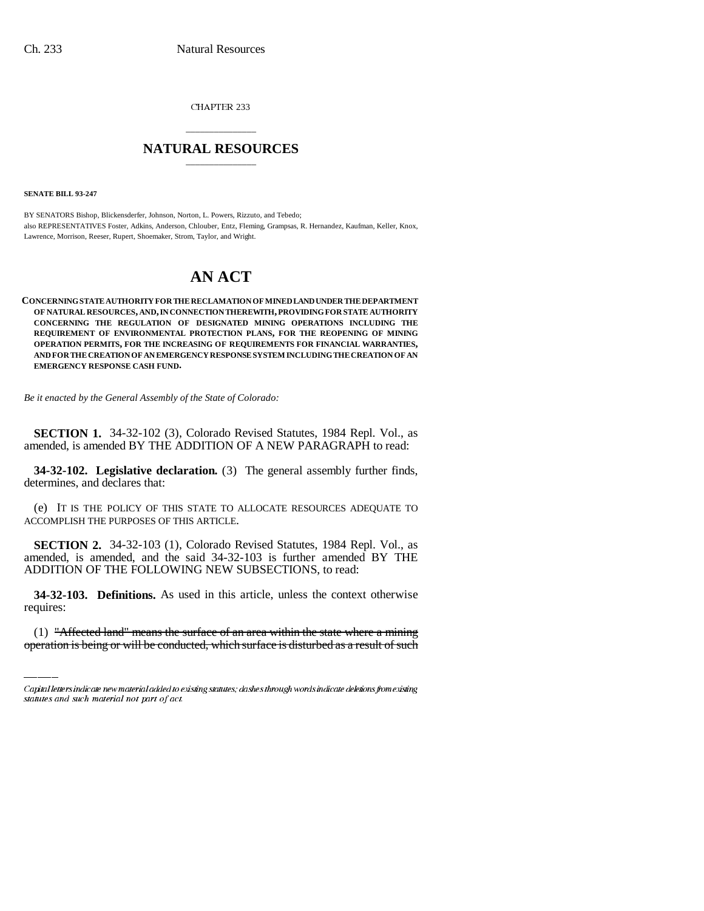CHAPTER 233

## \_\_\_\_\_\_\_\_\_\_\_\_\_\_\_ **NATURAL RESOURCES** \_\_\_\_\_\_\_\_\_\_\_\_\_\_\_

**SENATE BILL 93-247**

BY SENATORS Bishop, Blickensderfer, Johnson, Norton, L. Powers, Rizzuto, and Tebedo; also REPRESENTATIVES Foster, Adkins, Anderson, Chlouber, Entz, Fleming, Grampsas, R. Hernandez, Kaufman, Keller, Knox, Lawrence, Morrison, Reeser, Rupert, Shoemaker, Strom, Taylor, and Wright.

# **AN ACT**

**CONCERNING STATE AUTHORITY FOR THE RECLAMATION OF MINED LAND UNDER THE DEPARTMENT OF NATURAL RESOURCES, AND, IN CONNECTION THEREWITH, PROVIDING FOR STATE AUTHORITY CONCERNING THE REGULATION OF DESIGNATED MINING OPERATIONS INCLUDING THE REQUIREMENT OF ENVIRONMENTAL PROTECTION PLANS, FOR THE REOPENING OF MINING OPERATION PERMITS, FOR THE INCREASING OF REQUIREMENTS FOR FINANCIAL WARRANTIES, AND FOR THE CREATION OF AN EMERGENCY RESPONSE SYSTEM INCLUDING THE CREATION OF AN EMERGENCY RESPONSE CASH FUND.**

*Be it enacted by the General Assembly of the State of Colorado:*

**SECTION 1.** 34-32-102 (3), Colorado Revised Statutes, 1984 Repl. Vol., as amended, is amended BY THE ADDITION OF A NEW PARAGRAPH to read:

**34-32-102. Legislative declaration.** (3) The general assembly further finds, determines, and declares that:

(e) IT IS THE POLICY OF THIS STATE TO ALLOCATE RESOURCES ADEQUATE TO ACCOMPLISH THE PURPOSES OF THIS ARTICLE.

**SECTION 2.** 34-32-103 (1), Colorado Revised Statutes, 1984 Repl. Vol., as amended, is amended, and the said 34-32-103 is further amended BY THE ADDITION OF THE FOLLOWING NEW SUBSECTIONS, to read:

 **34-32-103. Definitions.** As used in this article, unless the context otherwise requires:

(1) "Affected land" means the surface of an area within the state where a mining operation is being or will be conducted, which surface is disturbed as a result of such

Capital letters indicate new material added to existing statutes; dashes through words indicate deletions from existing statutes and such material not part of act.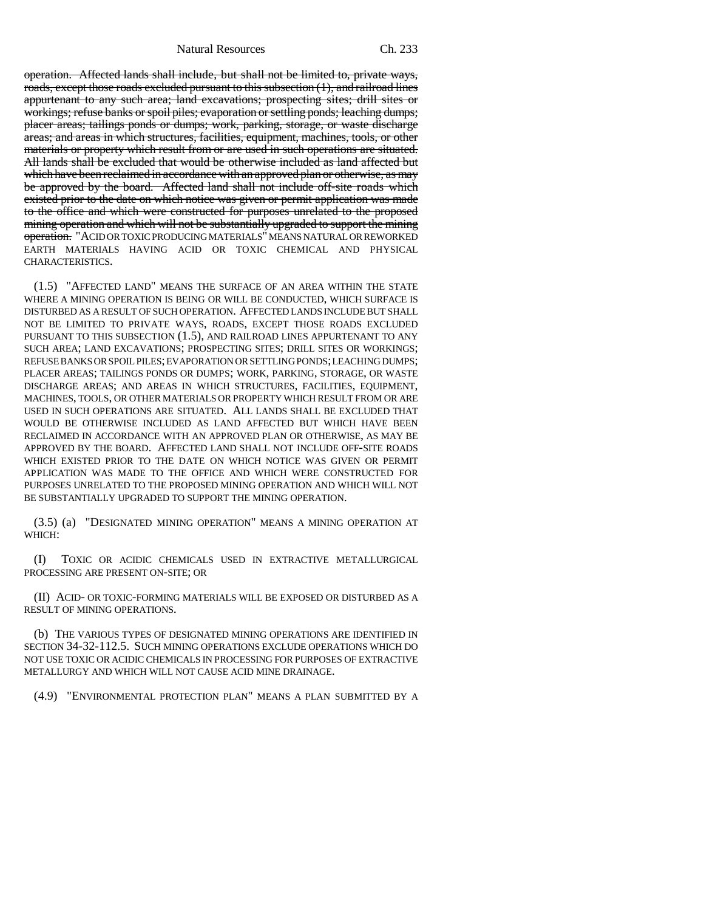Natural Resources Ch. 233

operation. Affected lands shall include, but shall not be limited to, private ways, roads, except those roads excluded pursuant to this subsection (1), and railroad lines appurtenant to any such area; land excavations; prospecting sites; drill sites or workings; refuse banks or spoil piles; evaporation or settling ponds; leaching dumps; placer areas; tailings ponds or dumps; work, parking, storage, or waste discharge areas; and areas in which structures, facilities, equipment, machines, tools, or other materials or property which result from or are used in such operations are situated. All lands shall be excluded that would be otherwise included as land affected but which have been reclaimed in accordance with an approved plan or otherwise, as may be approved by the board. Affected land shall not include off-site roads which existed prior to the date on which notice was given or permit application was made to the office and which were constructed for purposes unrelated to the proposed mining operation and which will not be substantially upgraded to support the mining operation. "ACID OR TOXIC PRODUCING MATERIALS" MEANS NATURAL OR REWORKED EARTH MATERIALS HAVING ACID OR TOXIC CHEMICAL AND PHYSICAL CHARACTERISTICS.

(1.5) "AFFECTED LAND" MEANS THE SURFACE OF AN AREA WITHIN THE STATE WHERE A MINING OPERATION IS BEING OR WILL BE CONDUCTED, WHICH SURFACE IS DISTURBED AS A RESULT OF SUCH OPERATION. AFFECTED LANDS INCLUDE BUT SHALL NOT BE LIMITED TO PRIVATE WAYS, ROADS, EXCEPT THOSE ROADS EXCLUDED PURSUANT TO THIS SUBSECTION (1.5), AND RAILROAD LINES APPURTENANT TO ANY SUCH AREA; LAND EXCAVATIONS; PROSPECTING SITES; DRILL SITES OR WORKINGS; REFUSE BANKS OR SPOIL PILES; EVAPORATION OR SETTLING PONDS; LEACHING DUMPS; PLACER AREAS; TAILINGS PONDS OR DUMPS; WORK, PARKING, STORAGE, OR WASTE DISCHARGE AREAS; AND AREAS IN WHICH STRUCTURES, FACILITIES, EQUIPMENT, MACHINES, TOOLS, OR OTHER MATERIALS OR PROPERTY WHICH RESULT FROM OR ARE USED IN SUCH OPERATIONS ARE SITUATED. ALL LANDS SHALL BE EXCLUDED THAT WOULD BE OTHERWISE INCLUDED AS LAND AFFECTED BUT WHICH HAVE BEEN RECLAIMED IN ACCORDANCE WITH AN APPROVED PLAN OR OTHERWISE, AS MAY BE APPROVED BY THE BOARD. AFFECTED LAND SHALL NOT INCLUDE OFF-SITE ROADS WHICH EXISTED PRIOR TO THE DATE ON WHICH NOTICE WAS GIVEN OR PERMIT APPLICATION WAS MADE TO THE OFFICE AND WHICH WERE CONSTRUCTED FOR PURPOSES UNRELATED TO THE PROPOSED MINING OPERATION AND WHICH WILL NOT BE SUBSTANTIALLY UPGRADED TO SUPPORT THE MINING OPERATION.

(3.5) (a) "DESIGNATED MINING OPERATION" MEANS A MINING OPERATION AT WHICH:

(I) TOXIC OR ACIDIC CHEMICALS USED IN EXTRACTIVE METALLURGICAL PROCESSING ARE PRESENT ON-SITE; OR

(II) ACID- OR TOXIC-FORMING MATERIALS WILL BE EXPOSED OR DISTURBED AS A RESULT OF MINING OPERATIONS.

(b) THE VARIOUS TYPES OF DESIGNATED MINING OPERATIONS ARE IDENTIFIED IN SECTION 34-32-112.5. SUCH MINING OPERATIONS EXCLUDE OPERATIONS WHICH DO NOT USE TOXIC OR ACIDIC CHEMICALS IN PROCESSING FOR PURPOSES OF EXTRACTIVE METALLURGY AND WHICH WILL NOT CAUSE ACID MINE DRAINAGE.

(4.9) "ENVIRONMENTAL PROTECTION PLAN" MEANS A PLAN SUBMITTED BY A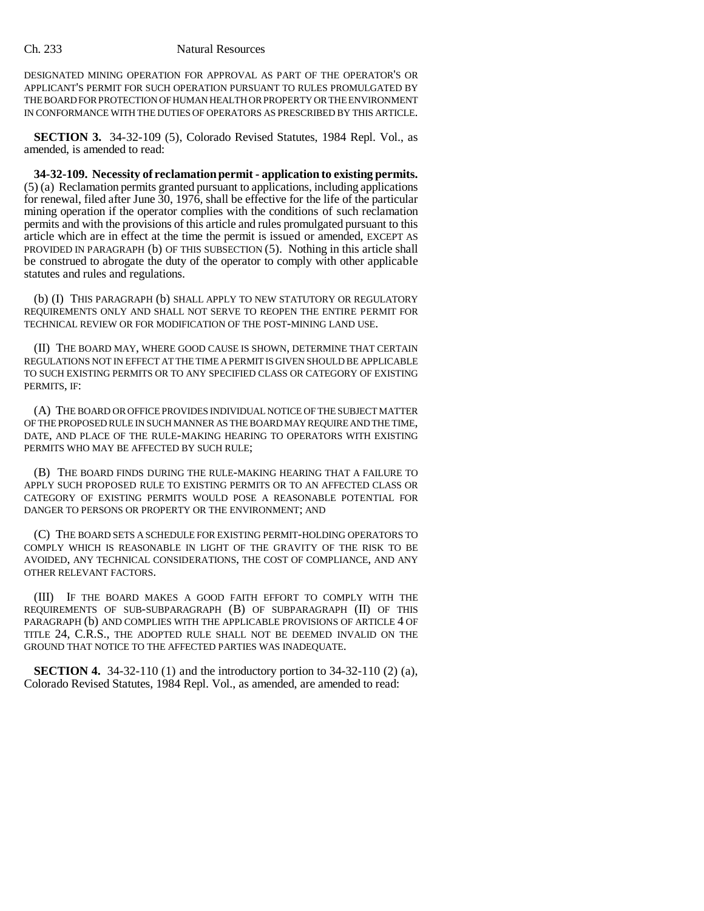DESIGNATED MINING OPERATION FOR APPROVAL AS PART OF THE OPERATOR'S OR APPLICANT'S PERMIT FOR SUCH OPERATION PURSUANT TO RULES PROMULGATED BY THE BOARD FOR PROTECTION OF HUMAN HEALTH OR PROPERTY OR THE ENVIRONMENT IN CONFORMANCE WITH THE DUTIES OF OPERATORS AS PRESCRIBED BY THIS ARTICLE.

**SECTION 3.** 34-32-109 (5), Colorado Revised Statutes, 1984 Repl. Vol., as amended, is amended to read:

**34-32-109. Necessity of reclamation permit - application to existing permits.** (5) (a) Reclamation permits granted pursuant to applications, including applications for renewal, filed after June 30, 1976, shall be effective for the life of the particular mining operation if the operator complies with the conditions of such reclamation permits and with the provisions of this article and rules promulgated pursuant to this article which are in effect at the time the permit is issued or amended, EXCEPT AS PROVIDED IN PARAGRAPH (b) OF THIS SUBSECTION (5). Nothing in this article shall be construed to abrogate the duty of the operator to comply with other applicable statutes and rules and regulations.

(b) (I) THIS PARAGRAPH (b) SHALL APPLY TO NEW STATUTORY OR REGULATORY REQUIREMENTS ONLY AND SHALL NOT SERVE TO REOPEN THE ENTIRE PERMIT FOR TECHNICAL REVIEW OR FOR MODIFICATION OF THE POST-MINING LAND USE.

(II) THE BOARD MAY, WHERE GOOD CAUSE IS SHOWN, DETERMINE THAT CERTAIN REGULATIONS NOT IN EFFECT AT THE TIME A PERMIT IS GIVEN SHOULD BE APPLICABLE TO SUCH EXISTING PERMITS OR TO ANY SPECIFIED CLASS OR CATEGORY OF EXISTING PERMITS, IF:

(A) THE BOARD OR OFFICE PROVIDES INDIVIDUAL NOTICE OF THE SUBJECT MATTER OF THE PROPOSED RULE IN SUCH MANNER AS THE BOARD MAY REQUIRE AND THE TIME, DATE, AND PLACE OF THE RULE-MAKING HEARING TO OPERATORS WITH EXISTING PERMITS WHO MAY BE AFFECTED BY SUCH RULE;

(B) THE BOARD FINDS DURING THE RULE-MAKING HEARING THAT A FAILURE TO APPLY SUCH PROPOSED RULE TO EXISTING PERMITS OR TO AN AFFECTED CLASS OR CATEGORY OF EXISTING PERMITS WOULD POSE A REASONABLE POTENTIAL FOR DANGER TO PERSONS OR PROPERTY OR THE ENVIRONMENT; AND

(C) THE BOARD SETS A SCHEDULE FOR EXISTING PERMIT-HOLDING OPERATORS TO COMPLY WHICH IS REASONABLE IN LIGHT OF THE GRAVITY OF THE RISK TO BE AVOIDED, ANY TECHNICAL CONSIDERATIONS, THE COST OF COMPLIANCE, AND ANY OTHER RELEVANT FACTORS.

(III) IF THE BOARD MAKES A GOOD FAITH EFFORT TO COMPLY WITH THE REQUIREMENTS OF SUB-SUBPARAGRAPH (B) OF SUBPARAGRAPH (II) OF THIS PARAGRAPH (b) AND COMPLIES WITH THE APPLICABLE PROVISIONS OF ARTICLE 4 OF TITLE 24, C.R.S., THE ADOPTED RULE SHALL NOT BE DEEMED INVALID ON THE GROUND THAT NOTICE TO THE AFFECTED PARTIES WAS INADEQUATE.

**SECTION 4.** 34-32-110 (1) and the introductory portion to 34-32-110 (2) (a), Colorado Revised Statutes, 1984 Repl. Vol., as amended, are amended to read: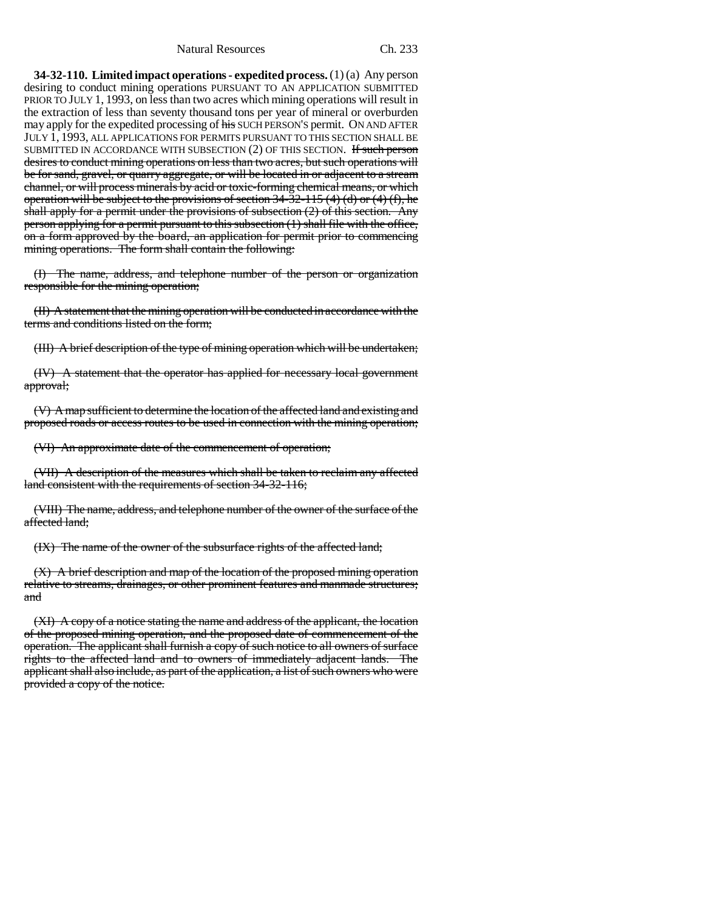**34-32-110. Limited impact operations - expedited process.** (1) (a) Any person desiring to conduct mining operations PURSUANT TO AN APPLICATION SUBMITTED PRIOR TO JULY 1, 1993, on less than two acres which mining operations will result in the extraction of less than seventy thousand tons per year of mineral or overburden may apply for the expedited processing of his SUCH PERSON'S permit. ON AND AFTER JULY 1, 1993, ALL APPLICATIONS FOR PERMITS PURSUANT TO THIS SECTION SHALL BE SUBMITTED IN ACCORDANCE WITH SUBSECTION (2) OF THIS SECTION. If such person desires to conduct mining operations on less than two acres, but such operations will be for sand, gravel, or quarry aggregate, or will be located in or adjacent to a stream channel, or will process minerals by acid or toxic-forming chemical means, or which operation will be subject to the provisions of section  $34-32-115$  (4) (d) or (4) (f), he shall apply for a permit under the provisions of subsection  $(2)$  of this section. Any person applying for a permit pursuant to this subsection (1) shall file with the office, on a form approved by the board, an application for permit prior to commencing mining operations. The form shall contain the following:

(I) The name, address, and telephone number of the person or organization responsible for the mining operation;

(II) A statement that the mining operation will be conducted in accordance with the terms and conditions listed on the form;

(III) A brief description of the type of mining operation which will be undertaken;

(IV) A statement that the operator has applied for necessary local government approval;

(V) A map sufficient to determine the location of the affected land and existing and proposed roads or access routes to be used in connection with the mining operation;

(VI) An approximate date of the commencement of operation;

(VII) A description of the measures which shall be taken to reclaim any affected land consistent with the requirements of section 34-32-116;

(VIII) The name, address, and telephone number of the owner of the surface of the affected land;

(IX) The name of the owner of the subsurface rights of the affected land;

(X) A brief description and map of the location of the proposed mining operation relative to streams, drainages, or other prominent features and manmade structures; and

(XI) A copy of a notice stating the name and address of the applicant, the location of the proposed mining operation, and the proposed date of commencement of the operation. The applicant shall furnish a copy of such notice to all owners of surface rights to the affected land and to owners of immediately adjacent lands. The applicant shall also include, as part of the application, a list of such owners who were provided a copy of the notice.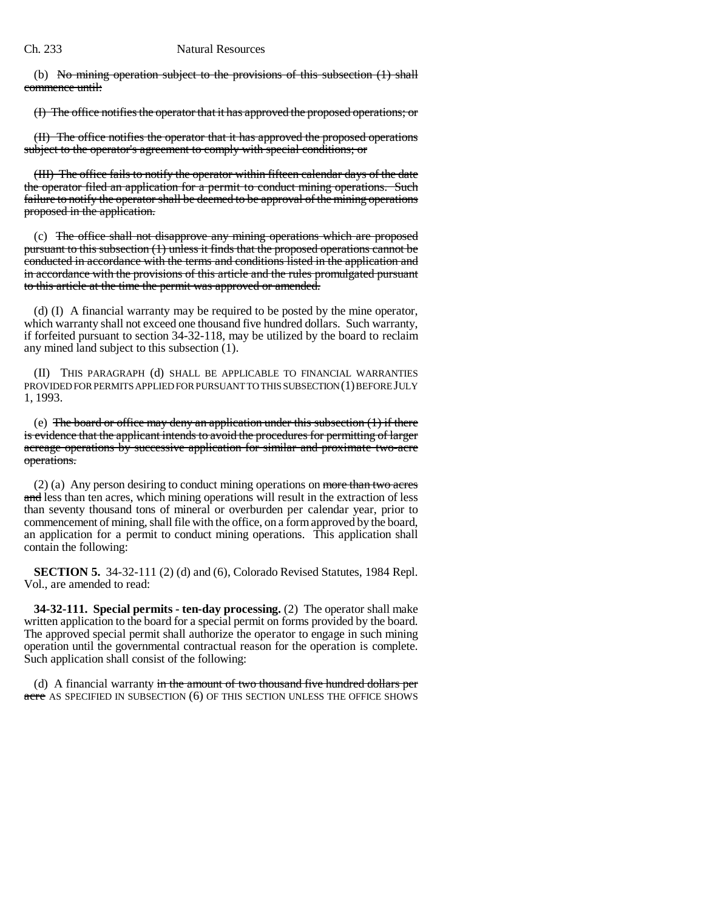(b) No mining operation subject to the provisions of this subsection (1) shall commence until:

(I) The office notifies the operator that it has approved the proposed operations; or

(II) The office notifies the operator that it has approved the proposed operations subject to the operator's agreement to comply with special conditions; or

(III) The office fails to notify the operator within fifteen calendar days of the date the operator filed an application for a permit to conduct mining operations. Such failure to notify the operator shall be deemed to be approval of the mining operations proposed in the application.

(c) The office shall not disapprove any mining operations which are proposed pursuant to this subsection (1) unless it finds that the proposed operations cannot be conducted in accordance with the terms and conditions listed in the application and in accordance with the provisions of this article and the rules promulgated pursuant to this article at the time the permit was approved or amended.

(d) (I) A financial warranty may be required to be posted by the mine operator, which warranty shall not exceed one thousand five hundred dollars. Such warranty, if forfeited pursuant to section 34-32-118, may be utilized by the board to reclaim any mined land subject to this subsection (1).

(II) THIS PARAGRAPH (d) SHALL BE APPLICABLE TO FINANCIAL WARRANTIES PROVIDED FOR PERMITS APPLIED FOR PURSUANT TO THIS SUBSECTION (1) BEFORE JULY 1, 1993.

(e) The board or office may deny an application under this subsection (1) if there is evidence that the applicant intends to avoid the procedures for permitting of larger acreage operations by successive application for similar and proximate two-acre operations.

 $(2)$  (a) Any person desiring to conduct mining operations on more than two acres and less than ten acres, which mining operations will result in the extraction of less than seventy thousand tons of mineral or overburden per calendar year, prior to commencement of mining, shall file with the office, on a form approved by the board, an application for a permit to conduct mining operations. This application shall contain the following:

**SECTION 5.** 34-32-111 (2) (d) and (6), Colorado Revised Statutes, 1984 Repl. Vol., are amended to read:

**34-32-111. Special permits - ten-day processing.** (2) The operator shall make written application to the board for a special permit on forms provided by the board. The approved special permit shall authorize the operator to engage in such mining operation until the governmental contractual reason for the operation is complete. Such application shall consist of the following:

(d) A financial warranty in the amount of two thousand five hundred dollars per acre AS SPECIFIED IN SUBSECTION (6) OF THIS SECTION UNLESS THE OFFICE SHOWS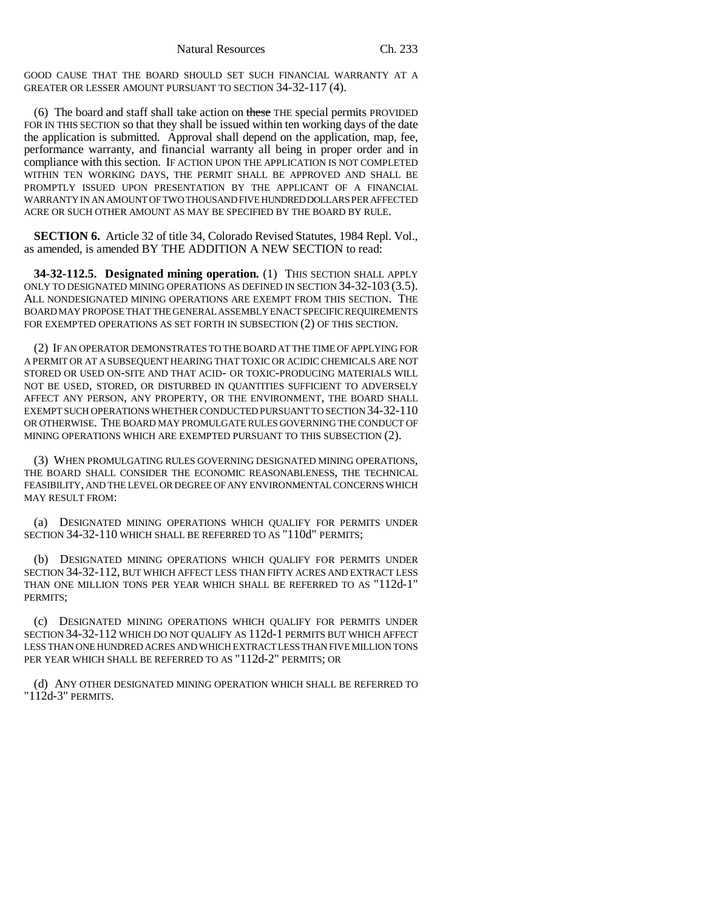GOOD CAUSE THAT THE BOARD SHOULD SET SUCH FINANCIAL WARRANTY AT A GREATER OR LESSER AMOUNT PURSUANT TO SECTION 34-32-117 (4).

(6) The board and staff shall take action on these THE special permits PROVIDED FOR IN THIS SECTION so that they shall be issued within ten working days of the date the application is submitted. Approval shall depend on the application, map, fee, performance warranty, and financial warranty all being in proper order and in compliance with this section. IF ACTION UPON THE APPLICATION IS NOT COMPLETED WITHIN TEN WORKING DAYS, THE PERMIT SHALL BE APPROVED AND SHALL BE PROMPTLY ISSUED UPON PRESENTATION BY THE APPLICANT OF A FINANCIAL WARRANTY IN AN AMOUNT OF TWO THOUSAND FIVE HUNDRED DOLLARS PER AFFECTED ACRE OR SUCH OTHER AMOUNT AS MAY BE SPECIFIED BY THE BOARD BY RULE.

**SECTION 6.** Article 32 of title 34, Colorado Revised Statutes, 1984 Repl. Vol., as amended, is amended BY THE ADDITION A NEW SECTION to read:

**34-32-112.5. Designated mining operation.** (1) THIS SECTION SHALL APPLY ONLY TO DESIGNATED MINING OPERATIONS AS DEFINED IN SECTION 34-32-103 (3.5). ALL NONDESIGNATED MINING OPERATIONS ARE EXEMPT FROM THIS SECTION. THE BOARD MAY PROPOSE THAT THE GENERAL ASSEMBLY ENACT SPECIFIC REQUIREMENTS FOR EXEMPTED OPERATIONS AS SET FORTH IN SUBSECTION (2) OF THIS SECTION.

(2) IF AN OPERATOR DEMONSTRATES TO THE BOARD AT THE TIME OF APPLYING FOR A PERMIT OR AT A SUBSEQUENT HEARING THAT TOXIC OR ACIDIC CHEMICALS ARE NOT STORED OR USED ON-SITE AND THAT ACID- OR TOXIC-PRODUCING MATERIALS WILL NOT BE USED, STORED, OR DISTURBED IN QUANTITIES SUFFICIENT TO ADVERSELY AFFECT ANY PERSON, ANY PROPERTY, OR THE ENVIRONMENT, THE BOARD SHALL EXEMPT SUCH OPERATIONS WHETHER CONDUCTED PURSUANT TO SECTION 34-32-110 OR OTHERWISE. THE BOARD MAY PROMULGATE RULES GOVERNING THE CONDUCT OF MINING OPERATIONS WHICH ARE EXEMPTED PURSUANT TO THIS SUBSECTION (2).

(3) WHEN PROMULGATING RULES GOVERNING DESIGNATED MINING OPERATIONS, THE BOARD SHALL CONSIDER THE ECONOMIC REASONABLENESS, THE TECHNICAL FEASIBILITY, AND THE LEVEL OR DEGREE OF ANY ENVIRONMENTAL CONCERNS WHICH MAY RESULT FROM:

(a) DESIGNATED MINING OPERATIONS WHICH QUALIFY FOR PERMITS UNDER SECTION 34-32-110 WHICH SHALL BE REFERRED TO AS "110d" PERMITS;

(b) DESIGNATED MINING OPERATIONS WHICH QUALIFY FOR PERMITS UNDER SECTION 34-32-112, BUT WHICH AFFECT LESS THAN FIFTY ACRES AND EXTRACT LESS THAN ONE MILLION TONS PER YEAR WHICH SHALL BE REFERRED TO AS "112d-1" PERMITS;

(c) DESIGNATED MINING OPERATIONS WHICH QUALIFY FOR PERMITS UNDER SECTION 34-32-112 WHICH DO NOT QUALIFY AS 112d-1 PERMITS BUT WHICH AFFECT LESS THAN ONE HUNDRED ACRES AND WHICH EXTRACT LESS THAN FIVE MILLION TONS PER YEAR WHICH SHALL BE REFERRED TO AS "112d-2" PERMITS; OR

(d) ANY OTHER DESIGNATED MINING OPERATION WHICH SHALL BE REFERRED TO "112d-3" PERMITS.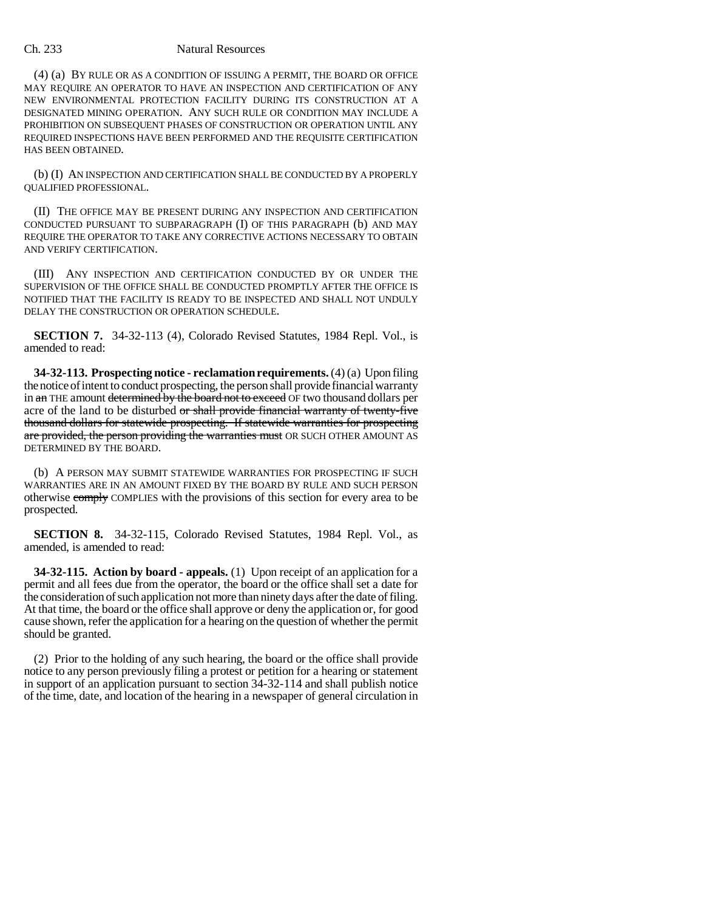#### Ch. 233 Natural Resources

(4) (a) BY RULE OR AS A CONDITION OF ISSUING A PERMIT, THE BOARD OR OFFICE MAY REQUIRE AN OPERATOR TO HAVE AN INSPECTION AND CERTIFICATION OF ANY NEW ENVIRONMENTAL PROTECTION FACILITY DURING ITS CONSTRUCTION AT A DESIGNATED MINING OPERATION. ANY SUCH RULE OR CONDITION MAY INCLUDE A PROHIBITION ON SUBSEQUENT PHASES OF CONSTRUCTION OR OPERATION UNTIL ANY REQUIRED INSPECTIONS HAVE BEEN PERFORMED AND THE REQUISITE CERTIFICATION HAS BEEN OBTAINED.

(b) (I) AN INSPECTION AND CERTIFICATION SHALL BE CONDUCTED BY A PROPERLY QUALIFIED PROFESSIONAL.

(II) THE OFFICE MAY BE PRESENT DURING ANY INSPECTION AND CERTIFICATION CONDUCTED PURSUANT TO SUBPARAGRAPH (I) OF THIS PARAGRAPH (b) AND MAY REQUIRE THE OPERATOR TO TAKE ANY CORRECTIVE ACTIONS NECESSARY TO OBTAIN AND VERIFY CERTIFICATION.

(III) ANY INSPECTION AND CERTIFICATION CONDUCTED BY OR UNDER THE SUPERVISION OF THE OFFICE SHALL BE CONDUCTED PROMPTLY AFTER THE OFFICE IS NOTIFIED THAT THE FACILITY IS READY TO BE INSPECTED AND SHALL NOT UNDULY DELAY THE CONSTRUCTION OR OPERATION SCHEDULE.

**SECTION 7.** 34-32-113 (4), Colorado Revised Statutes, 1984 Repl. Vol., is amended to read:

**34-32-113. Prospecting notice - reclamation requirements.** (4) (a) Upon filing the notice of intent to conduct prospecting, the person shall provide financial warranty in an THE amount determined by the board not to exceed OF two thousand dollars per acre of the land to be disturbed or shall provide financial warranty of twenty-five thousand dollars for statewide prospecting. If statewide warranties for prospecting are provided, the person providing the warranties must OR SUCH OTHER AMOUNT AS DETERMINED BY THE BOARD.

(b) A PERSON MAY SUBMIT STATEWIDE WARRANTIES FOR PROSPECTING IF SUCH WARRANTIES ARE IN AN AMOUNT FIXED BY THE BOARD BY RULE AND SUCH PERSON otherwise comply COMPLIES with the provisions of this section for every area to be prospected.

**SECTION 8.** 34-32-115, Colorado Revised Statutes, 1984 Repl. Vol., as amended, is amended to read:

**34-32-115. Action by board - appeals.** (1) Upon receipt of an application for a permit and all fees due from the operator, the board or the office shall set a date for the consideration of such application not more than ninety days after the date of filing. At that time, the board or the office shall approve or deny the application or, for good cause shown, refer the application for a hearing on the question of whether the permit should be granted.

(2) Prior to the holding of any such hearing, the board or the office shall provide notice to any person previously filing a protest or petition for a hearing or statement in support of an application pursuant to section 34-32-114 and shall publish notice of the time, date, and location of the hearing in a newspaper of general circulation in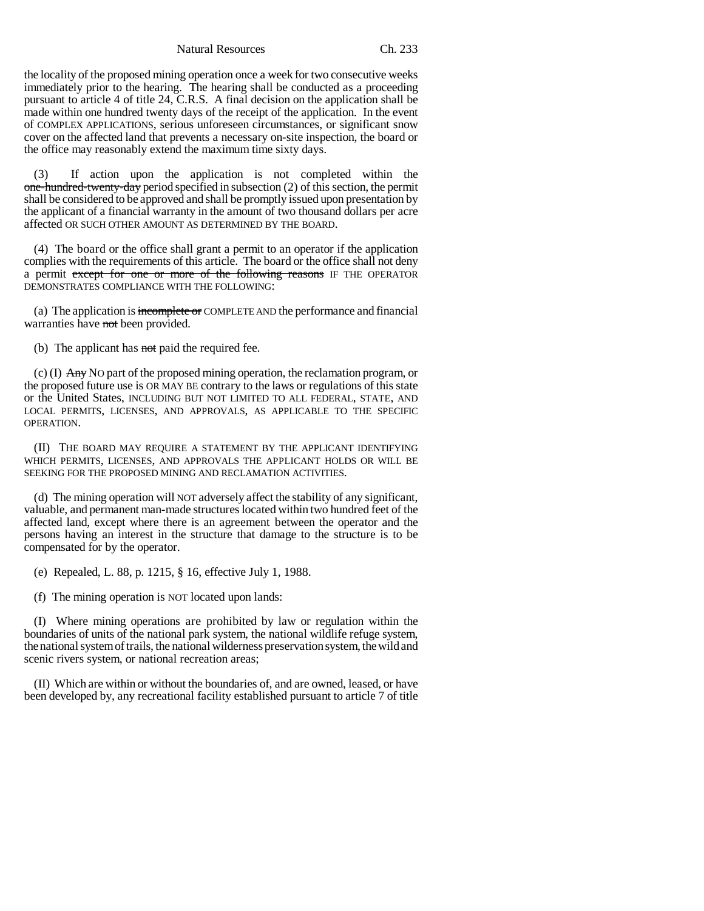Natural Resources Ch. 233

the locality of the proposed mining operation once a week for two consecutive weeks immediately prior to the hearing. The hearing shall be conducted as a proceeding pursuant to article 4 of title 24, C.R.S. A final decision on the application shall be made within one hundred twenty days of the receipt of the application. In the event of COMPLEX APPLICATIONS, serious unforeseen circumstances, or significant snow cover on the affected land that prevents a necessary on-site inspection, the board or the office may reasonably extend the maximum time sixty days.

(3) If action upon the application is not completed within the one-hundred-twenty-day period specified in subsection (2) of this section, the permit shall be considered to be approved and shall be promptly issued upon presentation by the applicant of a financial warranty in the amount of two thousand dollars per acre affected OR SUCH OTHER AMOUNT AS DETERMINED BY THE BOARD.

(4) The board or the office shall grant a permit to an operator if the application complies with the requirements of this article. The board or the office shall not deny a permit except for one or more of the following reasons IF THE OPERATOR DEMONSTRATES COMPLIANCE WITH THE FOLLOWING:

(a) The application is incomplete or COMPLETE AND the performance and financial warranties have not been provided.

(b) The applicant has not paid the required fee.

(c) (I)  $\overrightarrow{Any}$  No part of the proposed mining operation, the reclamation program, or the proposed future use is OR MAY BE contrary to the laws or regulations of this state or the United States, INCLUDING BUT NOT LIMITED TO ALL FEDERAL, STATE, AND LOCAL PERMITS, LICENSES, AND APPROVALS, AS APPLICABLE TO THE SPECIFIC OPERATION.

(II) THE BOARD MAY REQUIRE A STATEMENT BY THE APPLICANT IDENTIFYING WHICH PERMITS, LICENSES, AND APPROVALS THE APPLICANT HOLDS OR WILL BE SEEKING FOR THE PROPOSED MINING AND RECLAMATION ACTIVITIES.

(d) The mining operation will NOT adversely affect the stability of any significant, valuable, and permanent man-made structures located within two hundred feet of the affected land, except where there is an agreement between the operator and the persons having an interest in the structure that damage to the structure is to be compensated for by the operator.

(e) Repealed, L. 88, p. 1215, § 16, effective July 1, 1988.

(f) The mining operation is NOT located upon lands:

(I) Where mining operations are prohibited by law or regulation within the boundaries of units of the national park system, the national wildlife refuge system, the national system of trails, the national wilderness preservation system, the wild and scenic rivers system, or national recreation areas;

(II) Which are within or without the boundaries of, and are owned, leased, or have been developed by, any recreational facility established pursuant to article 7 of title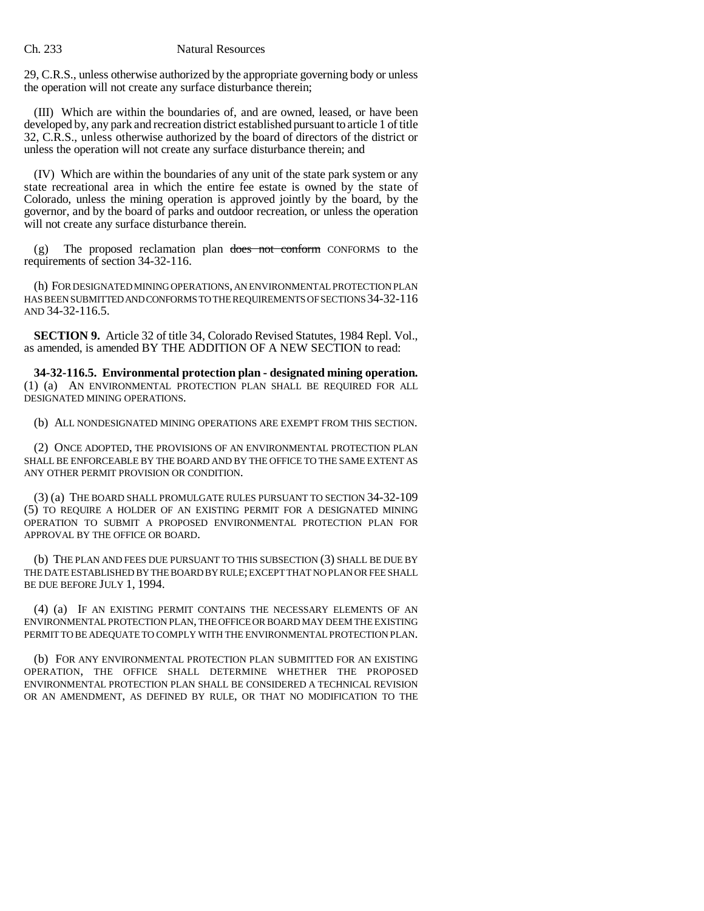29, C.R.S., unless otherwise authorized by the appropriate governing body or unless the operation will not create any surface disturbance therein;

(III) Which are within the boundaries of, and are owned, leased, or have been developed by, any park and recreation district established pursuant to article 1 of title 32, C.R.S., unless otherwise authorized by the board of directors of the district or unless the operation will not create any surface disturbance therein; and

(IV) Which are within the boundaries of any unit of the state park system or any state recreational area in which the entire fee estate is owned by the state of Colorado, unless the mining operation is approved jointly by the board, by the governor, and by the board of parks and outdoor recreation, or unless the operation will not create any surface disturbance therein.

 $(g)$  The proposed reclamation plan does not conform CONFORMS to the requirements of section 34-32-116.

(h) FOR DESIGNATED MINING OPERATIONS, AN ENVIRONMENTAL PROTECTION PLAN HAS BEEN SUBMITTED AND CONFORMS TO THE REQUIREMENTS OF SECTIONS 34-32-116 AND 34-32-116.5.

**SECTION 9.** Article 32 of title 34, Colorado Revised Statutes, 1984 Repl. Vol., as amended, is amended BY THE ADDITION OF A NEW SECTION to read:

**34-32-116.5. Environmental protection plan - designated mining operation.** (1) (a) AN ENVIRONMENTAL PROTECTION PLAN SHALL BE REQUIRED FOR ALL DESIGNATED MINING OPERATIONS.

(b) ALL NONDESIGNATED MINING OPERATIONS ARE EXEMPT FROM THIS SECTION.

(2) ONCE ADOPTED, THE PROVISIONS OF AN ENVIRONMENTAL PROTECTION PLAN SHALL BE ENFORCEABLE BY THE BOARD AND BY THE OFFICE TO THE SAME EXTENT AS ANY OTHER PERMIT PROVISION OR CONDITION.

(3) (a) THE BOARD SHALL PROMULGATE RULES PURSUANT TO SECTION 34-32-109 (5) TO REQUIRE A HOLDER OF AN EXISTING PERMIT FOR A DESIGNATED MINING OPERATION TO SUBMIT A PROPOSED ENVIRONMENTAL PROTECTION PLAN FOR APPROVAL BY THE OFFICE OR BOARD.

(b) THE PLAN AND FEES DUE PURSUANT TO THIS SUBSECTION (3) SHALL BE DUE BY THE DATE ESTABLISHED BY THE BOARD BY RULE; EXCEPT THAT NO PLAN OR FEE SHALL BE DUE BEFORE JULY 1, 1994.

(4) (a) IF AN EXISTING PERMIT CONTAINS THE NECESSARY ELEMENTS OF AN ENVIRONMENTAL PROTECTION PLAN, THE OFFICE OR BOARD MAY DEEM THE EXISTING PERMIT TO BE ADEQUATE TO COMPLY WITH THE ENVIRONMENTAL PROTECTION PLAN.

(b) FOR ANY ENVIRONMENTAL PROTECTION PLAN SUBMITTED FOR AN EXISTING OPERATION, THE OFFICE SHALL DETERMINE WHETHER THE PROPOSED ENVIRONMENTAL PROTECTION PLAN SHALL BE CONSIDERED A TECHNICAL REVISION OR AN AMENDMENT, AS DEFINED BY RULE, OR THAT NO MODIFICATION TO THE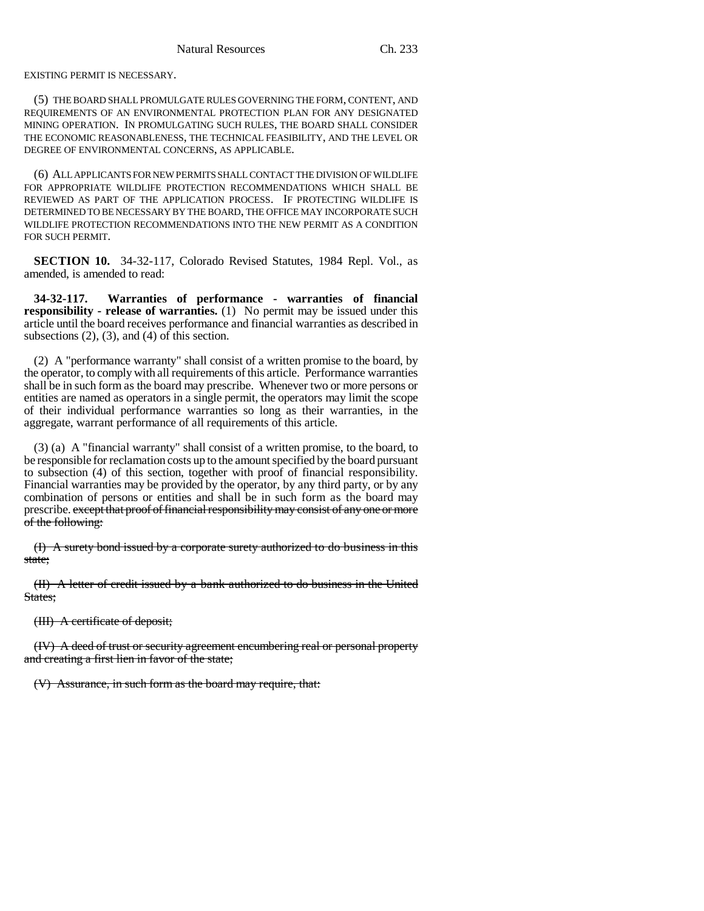EXISTING PERMIT IS NECESSARY.

(5) THE BOARD SHALL PROMULGATE RULES GOVERNING THE FORM, CONTENT, AND REQUIREMENTS OF AN ENVIRONMENTAL PROTECTION PLAN FOR ANY DESIGNATED MINING OPERATION. IN PROMULGATING SUCH RULES, THE BOARD SHALL CONSIDER THE ECONOMIC REASONABLENESS, THE TECHNICAL FEASIBILITY, AND THE LEVEL OR DEGREE OF ENVIRONMENTAL CONCERNS, AS APPLICABLE.

(6) ALL APPLICANTS FOR NEW PERMITS SHALL CONTACT THE DIVISION OF WILDLIFE FOR APPROPRIATE WILDLIFE PROTECTION RECOMMENDATIONS WHICH SHALL BE REVIEWED AS PART OF THE APPLICATION PROCESS. IF PROTECTING WILDLIFE IS DETERMINED TO BE NECESSARY BY THE BOARD, THE OFFICE MAY INCORPORATE SUCH WILDLIFE PROTECTION RECOMMENDATIONS INTO THE NEW PERMIT AS A CONDITION FOR SUCH PERMIT.

**SECTION 10.** 34-32-117, Colorado Revised Statutes, 1984 Repl. Vol., as amended, is amended to read:

**34-32-117. Warranties of performance - warranties of financial responsibility - release of warranties.** (1) No permit may be issued under this article until the board receives performance and financial warranties as described in subsections  $(2)$ ,  $(3)$ , and  $(4)$  of this section.

(2) A "performance warranty" shall consist of a written promise to the board, by the operator, to comply with all requirements of this article. Performance warranties shall be in such form as the board may prescribe. Whenever two or more persons or entities are named as operators in a single permit, the operators may limit the scope of their individual performance warranties so long as their warranties, in the aggregate, warrant performance of all requirements of this article.

(3) (a) A "financial warranty" shall consist of a written promise, to the board, to be responsible for reclamation costs up to the amount specified by the board pursuant to subsection (4) of this section, together with proof of financial responsibility. Financial warranties may be provided by the operator, by any third party, or by any combination of persons or entities and shall be in such form as the board may prescribe. except that proof of financial responsibility may consist of any one or more of the following:

(I) A surety bond issued by a corporate surety authorized to do business in this state;

(II) A letter of credit issued by a bank authorized to do business in the United States:

(III) A certificate of deposit;

(IV) A deed of trust or security agreement encumbering real or personal property and creating a first lien in favor of the state;

(V) Assurance, in such form as the board may require, that: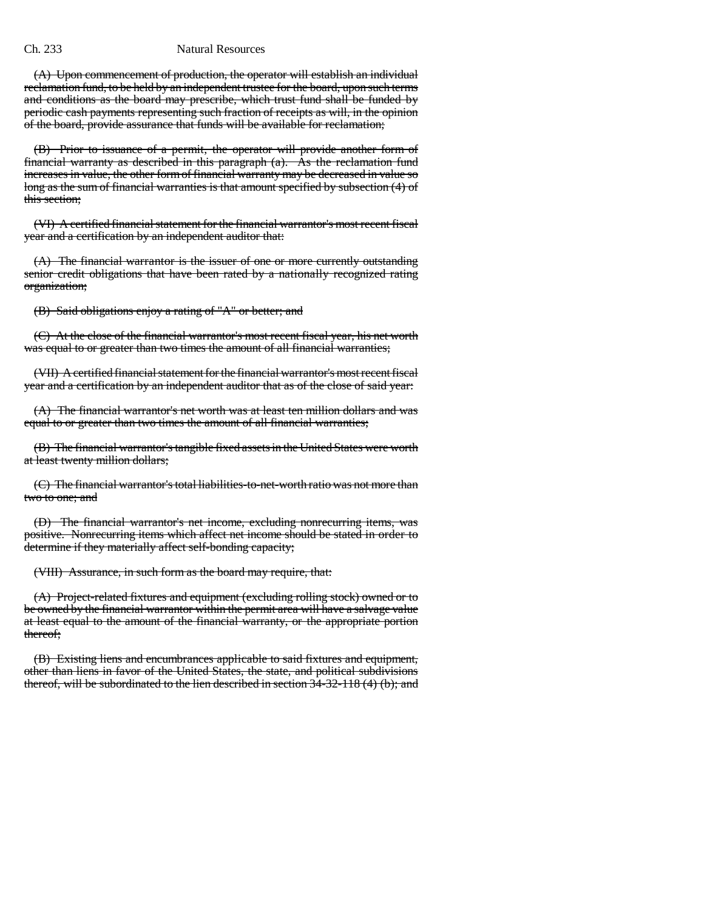#### Ch. 233 Natural Resources

(A) Upon commencement of production, the operator will establish an individual reclamation fund, to be held by an independent trustee for the board, upon such terms and conditions as the board may prescribe, which trust fund shall be funded by periodic cash payments representing such fraction of receipts as will, in the opinion of the board, provide assurance that funds will be available for reclamation;

(B) Prior to issuance of a permit, the operator will provide another form of financial warranty as described in this paragraph (a). As the reclamation fund increases in value, the other form of financial warranty may be decreased in value so long as the sum of financial warranties is that amount specified by subsection (4) of this section;

(VI) A certified financial statement for the financial warrantor's most recent fiscal year and a certification by an independent auditor that:

(A) The financial warrantor is the issuer of one or more currently outstanding senior credit obligations that have been rated by a nationally recognized rating organization;

(B) Said obligations enjoy a rating of "A" or better; and

(C) At the close of the financial warrantor's most recent fiscal year, his net worth was equal to or greater than two times the amount of all financial warranties;

(VII) A certified financial statement for the financial warrantor's most recent fiscal year and a certification by an independent auditor that as of the close of said year:

(A) The financial warrantor's net worth was at least ten million dollars and was equal to or greater than two times the amount of all financial warranties;

(B) The financial warrantor's tangible fixed assets in the United States were worth at least twenty million dollars;

(C) The financial warrantor's total liabilities-to-net-worth ratio was not more than two to one; and

(D) The financial warrantor's net income, excluding nonrecurring items, was positive. Nonrecurring items which affect net income should be stated in order to determine if they materially affect self-bonding capacity;

(VIII) Assurance, in such form as the board may require, that:

(A) Project-related fixtures and equipment (excluding rolling stock) owned or to be owned by the financial warrantor within the permit area will have a salvage value at least equal to the amount of the financial warranty, or the appropriate portion thereof;

(B) Existing liens and encumbrances applicable to said fixtures and equipment, other than liens in favor of the United States, the state, and political subdivisions thereof, will be subordinated to the lien described in section  $3\overline{4}$ -32-118 (4) (b); and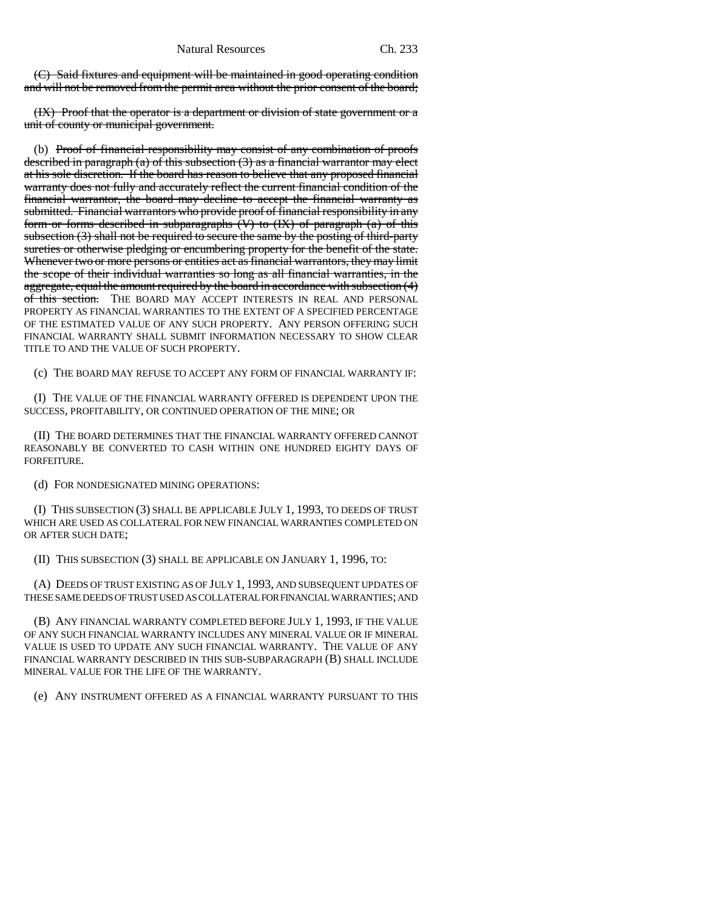(C) Said fixtures and equipment will be maintained in good operating condition and will not be removed from the permit area without the prior consent of the board;

(IX) Proof that the operator is a department or division of state government or a unit of county or municipal government.

(b) Proof of financial responsibility may consist of any combination of proofs described in paragraph (a) of this subsection (3) as a financial warrantor may elect at his sole discretion. If the board has reason to believe that any proposed financial warranty does not fully and accurately reflect the current financial condition of the financial warrantor, the board may decline to accept the financial warranty as submitted. Financial warrantors who provide proof of financial responsibility in any form or forms described in subparagraphs  $(V)$  to  $(IX)$  of paragraph  $(a)$  of this subsection (3) shall not be required to secure the same by the posting of third-party sureties or otherwise pledging or encumbering property for the benefit of the state. Whenever two or more persons or entities act as financial warrantors, they may limit the scope of their individual warranties so long as all financial warranties, in the aggregate, equal the amount required by the board in accordance with subsection (4) of this section. THE BOARD MAY ACCEPT INTERESTS IN REAL AND PERSONAL PROPERTY AS FINANCIAL WARRANTIES TO THE EXTENT OF A SPECIFIED PERCENTAGE OF THE ESTIMATED VALUE OF ANY SUCH PROPERTY. ANY PERSON OFFERING SUCH FINANCIAL WARRANTY SHALL SUBMIT INFORMATION NECESSARY TO SHOW CLEAR TITLE TO AND THE VALUE OF SUCH PROPERTY.

(c) THE BOARD MAY REFUSE TO ACCEPT ANY FORM OF FINANCIAL WARRANTY IF:

(I) THE VALUE OF THE FINANCIAL WARRANTY OFFERED IS DEPENDENT UPON THE SUCCESS, PROFITABILITY, OR CONTINUED OPERATION OF THE MINE; OR

(II) THE BOARD DETERMINES THAT THE FINANCIAL WARRANTY OFFERED CANNOT REASONABLY BE CONVERTED TO CASH WITHIN ONE HUNDRED EIGHTY DAYS OF FORFEITURE.

(d) FOR NONDESIGNATED MINING OPERATIONS:

(I) THIS SUBSECTION (3) SHALL BE APPLICABLE JULY 1, 1993, TO DEEDS OF TRUST WHICH ARE USED AS COLLATERAL FOR NEW FINANCIAL WARRANTIES COMPLETED ON OR AFTER SUCH DATE;

(II) THIS SUBSECTION (3) SHALL BE APPLICABLE ON JANUARY 1, 1996, TO:

(A) DEEDS OF TRUST EXISTING AS OF JULY 1, 1993, AND SUBSEQUENT UPDATES OF THESE SAME DEEDS OF TRUST USED AS COLLATERAL FOR FINANCIAL WARRANTIES; AND

(B) ANY FINANCIAL WARRANTY COMPLETED BEFORE JULY 1, 1993, IF THE VALUE OF ANY SUCH FINANCIAL WARRANTY INCLUDES ANY MINERAL VALUE OR IF MINERAL VALUE IS USED TO UPDATE ANY SUCH FINANCIAL WARRANTY. THE VALUE OF ANY FINANCIAL WARRANTY DESCRIBED IN THIS SUB-SUBPARAGRAPH (B) SHALL INCLUDE MINERAL VALUE FOR THE LIFE OF THE WARRANTY.

(e) ANY INSTRUMENT OFFERED AS A FINANCIAL WARRANTY PURSUANT TO THIS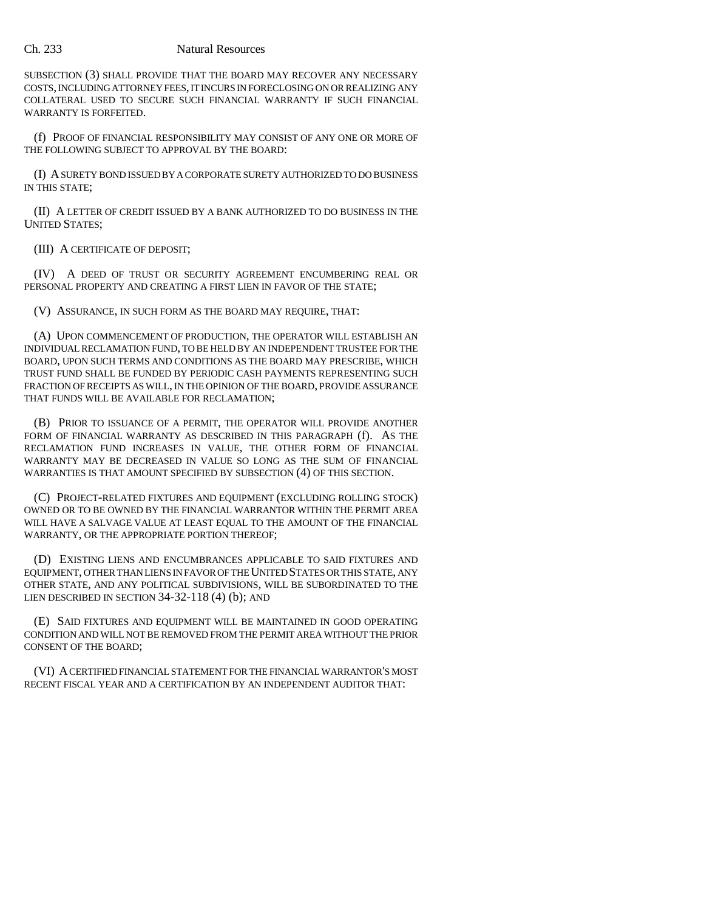#### Ch. 233 Natural Resources

SUBSECTION (3) SHALL PROVIDE THAT THE BOARD MAY RECOVER ANY NECESSARY COSTS, INCLUDING ATTORNEY FEES, IT INCURS IN FORECLOSING ON OR REALIZING ANY COLLATERAL USED TO SECURE SUCH FINANCIAL WARRANTY IF SUCH FINANCIAL WARRANTY IS FORFEITED.

(f) PROOF OF FINANCIAL RESPONSIBILITY MAY CONSIST OF ANY ONE OR MORE OF THE FOLLOWING SUBJECT TO APPROVAL BY THE BOARD:

(I) A SURETY BOND ISSUED BY A CORPORATE SURETY AUTHORIZED TO DO BUSINESS IN THIS STATE;

(II) A LETTER OF CREDIT ISSUED BY A BANK AUTHORIZED TO DO BUSINESS IN THE UNITED STATES;

(III) A CERTIFICATE OF DEPOSIT;

(IV) A DEED OF TRUST OR SECURITY AGREEMENT ENCUMBERING REAL OR PERSONAL PROPERTY AND CREATING A FIRST LIEN IN FAVOR OF THE STATE;

(V) ASSURANCE, IN SUCH FORM AS THE BOARD MAY REQUIRE, THAT:

(A) UPON COMMENCEMENT OF PRODUCTION, THE OPERATOR WILL ESTABLISH AN INDIVIDUAL RECLAMATION FUND, TO BE HELD BY AN INDEPENDENT TRUSTEE FOR THE BOARD, UPON SUCH TERMS AND CONDITIONS AS THE BOARD MAY PRESCRIBE, WHICH TRUST FUND SHALL BE FUNDED BY PERIODIC CASH PAYMENTS REPRESENTING SUCH FRACTION OF RECEIPTS AS WILL, IN THE OPINION OF THE BOARD, PROVIDE ASSURANCE THAT FUNDS WILL BE AVAILABLE FOR RECLAMATION;

(B) PRIOR TO ISSUANCE OF A PERMIT, THE OPERATOR WILL PROVIDE ANOTHER FORM OF FINANCIAL WARRANTY AS DESCRIBED IN THIS PARAGRAPH (f). AS THE RECLAMATION FUND INCREASES IN VALUE, THE OTHER FORM OF FINANCIAL WARRANTY MAY BE DECREASED IN VALUE SO LONG AS THE SUM OF FINANCIAL WARRANTIES IS THAT AMOUNT SPECIFIED BY SUBSECTION (4) OF THIS SECTION.

(C) PROJECT-RELATED FIXTURES AND EQUIPMENT (EXCLUDING ROLLING STOCK) OWNED OR TO BE OWNED BY THE FINANCIAL WARRANTOR WITHIN THE PERMIT AREA WILL HAVE A SALVAGE VALUE AT LEAST EQUAL TO THE AMOUNT OF THE FINANCIAL WARRANTY, OR THE APPROPRIATE PORTION THEREOF;

(D) EXISTING LIENS AND ENCUMBRANCES APPLICABLE TO SAID FIXTURES AND EQUIPMENT, OTHER THAN LIENS IN FAVOR OF THE UNITED STATES OR THIS STATE, ANY OTHER STATE, AND ANY POLITICAL SUBDIVISIONS, WILL BE SUBORDINATED TO THE LIEN DESCRIBED IN SECTION 34-32-118 (4) (b); AND

(E) SAID FIXTURES AND EQUIPMENT WILL BE MAINTAINED IN GOOD OPERATING CONDITION AND WILL NOT BE REMOVED FROM THE PERMIT AREA WITHOUT THE PRIOR CONSENT OF THE BOARD;

(VI) A CERTIFIED FINANCIAL STATEMENT FOR THE FINANCIAL WARRANTOR'S MOST RECENT FISCAL YEAR AND A CERTIFICATION BY AN INDEPENDENT AUDITOR THAT: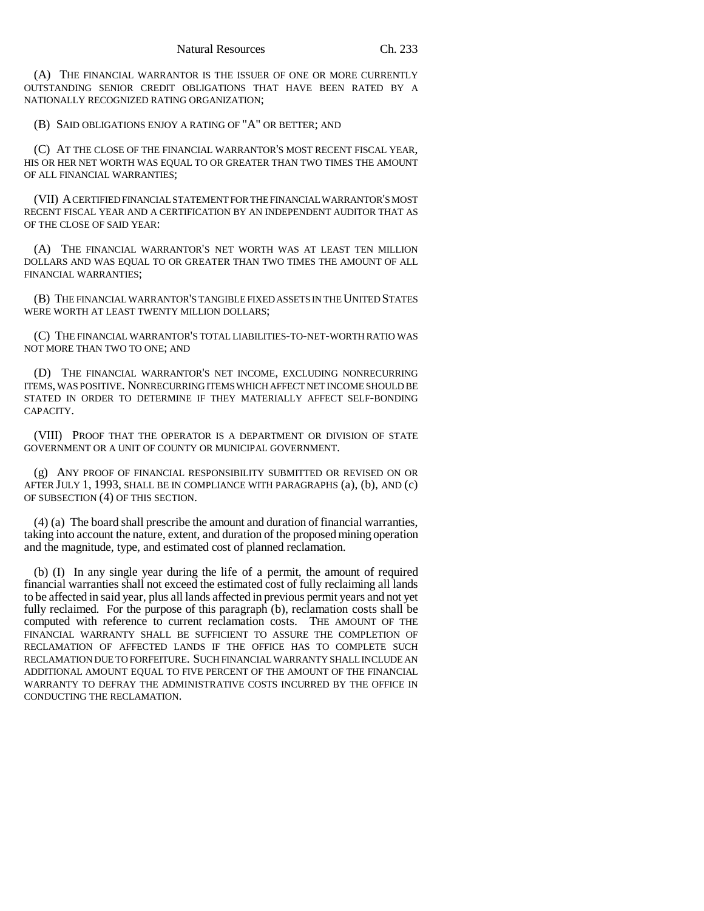(A) THE FINANCIAL WARRANTOR IS THE ISSUER OF ONE OR MORE CURRENTLY OUTSTANDING SENIOR CREDIT OBLIGATIONS THAT HAVE BEEN RATED BY A NATIONALLY RECOGNIZED RATING ORGANIZATION;

(B) SAID OBLIGATIONS ENJOY A RATING OF "A" OR BETTER; AND

(C) AT THE CLOSE OF THE FINANCIAL WARRANTOR'S MOST RECENT FISCAL YEAR, HIS OR HER NET WORTH WAS EQUAL TO OR GREATER THAN TWO TIMES THE AMOUNT OF ALL FINANCIAL WARRANTIES;

(VII) A CERTIFIED FINANCIAL STATEMENT FOR THE FINANCIAL WARRANTOR'S MOST RECENT FISCAL YEAR AND A CERTIFICATION BY AN INDEPENDENT AUDITOR THAT AS OF THE CLOSE OF SAID YEAR:

(A) THE FINANCIAL WARRANTOR'S NET WORTH WAS AT LEAST TEN MILLION DOLLARS AND WAS EQUAL TO OR GREATER THAN TWO TIMES THE AMOUNT OF ALL FINANCIAL WARRANTIES;

(B) THE FINANCIAL WARRANTOR'S TANGIBLE FIXED ASSETS IN THE UNITED STATES WERE WORTH AT LEAST TWENTY MILLION DOLLARS;

(C) THE FINANCIAL WARRANTOR'S TOTAL LIABILITIES-TO-NET-WORTH RATIO WAS NOT MORE THAN TWO TO ONE; AND

(D) THE FINANCIAL WARRANTOR'S NET INCOME, EXCLUDING NONRECURRING ITEMS, WAS POSITIVE. NONRECURRING ITEMS WHICH AFFECT NET INCOME SHOULD BE STATED IN ORDER TO DETERMINE IF THEY MATERIALLY AFFECT SELF-BONDING CAPACITY.

(VIII) PROOF THAT THE OPERATOR IS A DEPARTMENT OR DIVISION OF STATE GOVERNMENT OR A UNIT OF COUNTY OR MUNICIPAL GOVERNMENT.

(g) ANY PROOF OF FINANCIAL RESPONSIBILITY SUBMITTED OR REVISED ON OR AFTER JULY 1, 1993, SHALL BE IN COMPLIANCE WITH PARAGRAPHS (a), (b), AND (c) OF SUBSECTION (4) OF THIS SECTION.

(4) (a) The board shall prescribe the amount and duration of financial warranties, taking into account the nature, extent, and duration of the proposed mining operation and the magnitude, type, and estimated cost of planned reclamation.

(b) (I) In any single year during the life of a permit, the amount of required financial warranties shall not exceed the estimated cost of fully reclaiming all lands to be affected in said year, plus all lands affected in previous permit years and not yet fully reclaimed. For the purpose of this paragraph (b), reclamation costs shall be computed with reference to current reclamation costs. THE AMOUNT OF THE FINANCIAL WARRANTY SHALL BE SUFFICIENT TO ASSURE THE COMPLETION OF RECLAMATION OF AFFECTED LANDS IF THE OFFICE HAS TO COMPLETE SUCH RECLAMATION DUE TO FORFEITURE. SUCH FINANCIAL WARRANTY SHALL INCLUDE AN ADDITIONAL AMOUNT EQUAL TO FIVE PERCENT OF THE AMOUNT OF THE FINANCIAL WARRANTY TO DEFRAY THE ADMINISTRATIVE COSTS INCURRED BY THE OFFICE IN CONDUCTING THE RECLAMATION.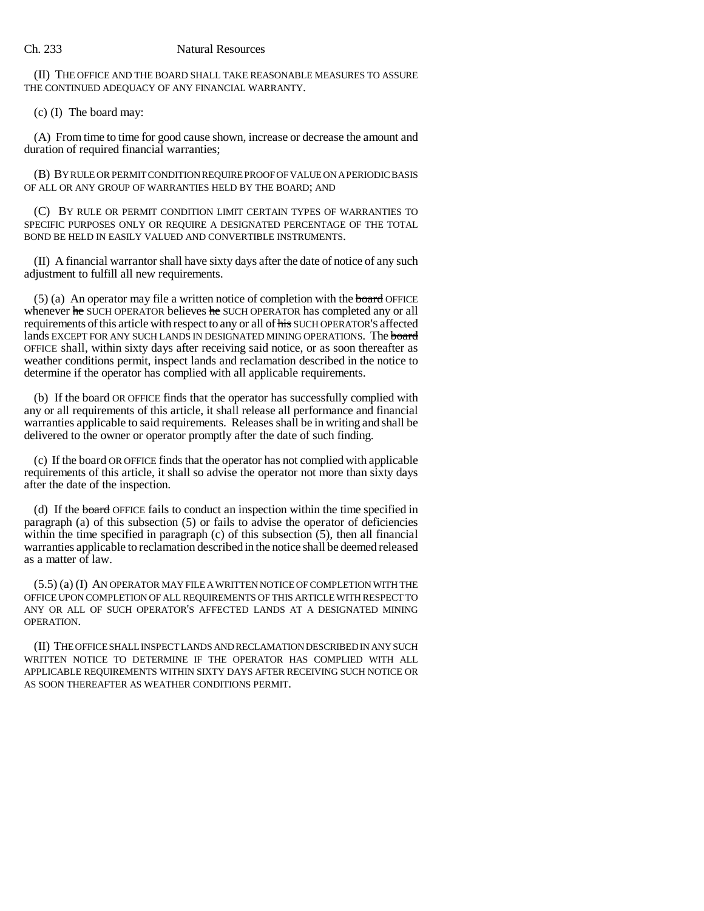(II) THE OFFICE AND THE BOARD SHALL TAKE REASONABLE MEASURES TO ASSURE THE CONTINUED ADEQUACY OF ANY FINANCIAL WARRANTY.

(c) (I) The board may:

(A) From time to time for good cause shown, increase or decrease the amount and duration of required financial warranties;

(B) BY RULE OR PERMIT CONDITION REQUIRE PROOF OF VALUE ON A PERIODIC BASIS OF ALL OR ANY GROUP OF WARRANTIES HELD BY THE BOARD; AND

(C) BY RULE OR PERMIT CONDITION LIMIT CERTAIN TYPES OF WARRANTIES TO SPECIFIC PURPOSES ONLY OR REQUIRE A DESIGNATED PERCENTAGE OF THE TOTAL BOND BE HELD IN EASILY VALUED AND CONVERTIBLE INSTRUMENTS.

(II) A financial warrantor shall have sixty days after the date of notice of any such adjustment to fulfill all new requirements.

 $(5)$  (a) An operator may file a written notice of completion with the board OFFICE whenever he SUCH OPERATOR believes he SUCH OPERATOR has completed any or all requirements of this article with respect to any or all of his SUCH OPERATOR'S affected lands EXCEPT FOR ANY SUCH LANDS IN DESIGNATED MINING OPERATIONS. The board OFFICE shall, within sixty days after receiving said notice, or as soon thereafter as weather conditions permit, inspect lands and reclamation described in the notice to determine if the operator has complied with all applicable requirements.

(b) If the board OR OFFICE finds that the operator has successfully complied with any or all requirements of this article, it shall release all performance and financial warranties applicable to said requirements. Releases shall be in writing and shall be delivered to the owner or operator promptly after the date of such finding.

(c) If the board OR OFFICE finds that the operator has not complied with applicable requirements of this article, it shall so advise the operator not more than sixty days after the date of the inspection.

(d) If the board OFFICE fails to conduct an inspection within the time specified in  $\alpha$  paragraph (a) of this subsection (5) or fails to advise the operator of deficiencies within the time specified in paragraph (c) of this subsection (5), then all financial warranties applicable to reclamation described in the notice shall be deemed released as a matter of law.

(5.5) (a) (I) AN OPERATOR MAY FILE A WRITTEN NOTICE OF COMPLETION WITH THE OFFICE UPON COMPLETION OF ALL REQUIREMENTS OF THIS ARTICLE WITH RESPECT TO ANY OR ALL OF SUCH OPERATOR'S AFFECTED LANDS AT A DESIGNATED MINING OPERATION.

(II) THE OFFICE SHALL INSPECT LANDS AND RECLAMATION DESCRIBED IN ANY SUCH WRITTEN NOTICE TO DETERMINE IF THE OPERATOR HAS COMPLIED WITH ALL APPLICABLE REQUIREMENTS WITHIN SIXTY DAYS AFTER RECEIVING SUCH NOTICE OR AS SOON THEREAFTER AS WEATHER CONDITIONS PERMIT.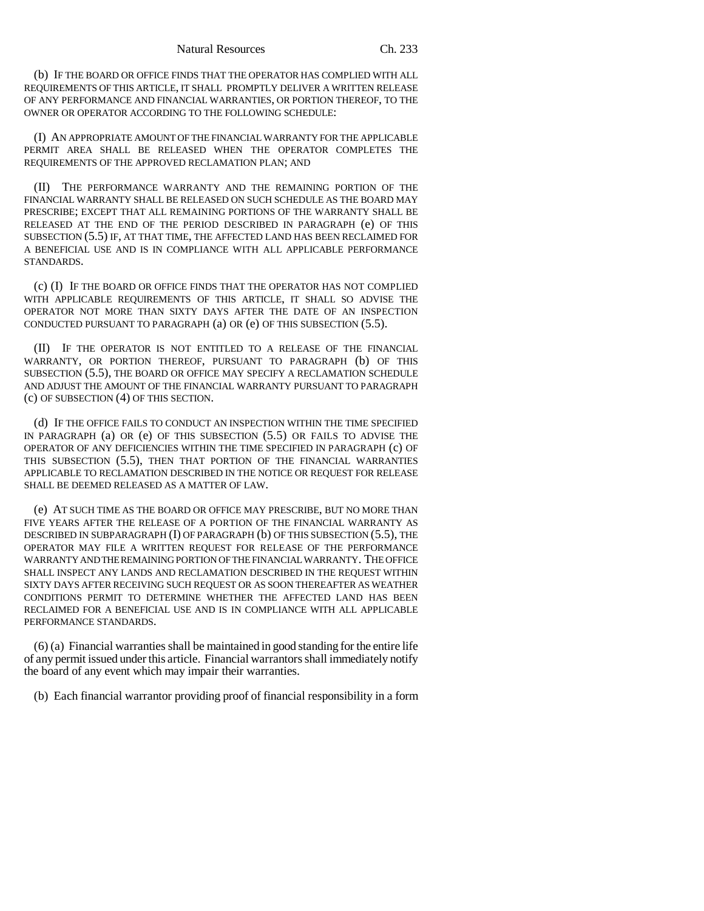#### Natural Resources Ch. 233

(b) IF THE BOARD OR OFFICE FINDS THAT THE OPERATOR HAS COMPLIED WITH ALL REQUIREMENTS OF THIS ARTICLE, IT SHALL PROMPTLY DELIVER A WRITTEN RELEASE OF ANY PERFORMANCE AND FINANCIAL WARRANTIES, OR PORTION THEREOF, TO THE OWNER OR OPERATOR ACCORDING TO THE FOLLOWING SCHEDULE:

(I) AN APPROPRIATE AMOUNT OF THE FINANCIAL WARRANTY FOR THE APPLICABLE PERMIT AREA SHALL BE RELEASED WHEN THE OPERATOR COMPLETES THE REQUIREMENTS OF THE APPROVED RECLAMATION PLAN; AND

(II) THE PERFORMANCE WARRANTY AND THE REMAINING PORTION OF THE FINANCIAL WARRANTY SHALL BE RELEASED ON SUCH SCHEDULE AS THE BOARD MAY PRESCRIBE; EXCEPT THAT ALL REMAINING PORTIONS OF THE WARRANTY SHALL BE RELEASED AT THE END OF THE PERIOD DESCRIBED IN PARAGRAPH (e) OF THIS SUBSECTION (5.5) IF, AT THAT TIME, THE AFFECTED LAND HAS BEEN RECLAIMED FOR A BENEFICIAL USE AND IS IN COMPLIANCE WITH ALL APPLICABLE PERFORMANCE STANDARDS.

(c) (I) IF THE BOARD OR OFFICE FINDS THAT THE OPERATOR HAS NOT COMPLIED WITH APPLICABLE REQUIREMENTS OF THIS ARTICLE, IT SHALL SO ADVISE THE OPERATOR NOT MORE THAN SIXTY DAYS AFTER THE DATE OF AN INSPECTION CONDUCTED PURSUANT TO PARAGRAPH (a) OR (e) OF THIS SUBSECTION (5.5).

(II) IF THE OPERATOR IS NOT ENTITLED TO A RELEASE OF THE FINANCIAL WARRANTY, OR PORTION THEREOF, PURSUANT TO PARAGRAPH (b) OF THIS SUBSECTION (5.5), THE BOARD OR OFFICE MAY SPECIFY A RECLAMATION SCHEDULE AND ADJUST THE AMOUNT OF THE FINANCIAL WARRANTY PURSUANT TO PARAGRAPH (c) OF SUBSECTION (4) OF THIS SECTION.

(d) IF THE OFFICE FAILS TO CONDUCT AN INSPECTION WITHIN THE TIME SPECIFIED IN PARAGRAPH (a) OR (e) OF THIS SUBSECTION (5.5) OR FAILS TO ADVISE THE OPERATOR OF ANY DEFICIENCIES WITHIN THE TIME SPECIFIED IN PARAGRAPH (c) OF THIS SUBSECTION (5.5), THEN THAT PORTION OF THE FINANCIAL WARRANTIES APPLICABLE TO RECLAMATION DESCRIBED IN THE NOTICE OR REQUEST FOR RELEASE SHALL BE DEEMED RELEASED AS A MATTER OF LAW.

(e) AT SUCH TIME AS THE BOARD OR OFFICE MAY PRESCRIBE, BUT NO MORE THAN FIVE YEARS AFTER THE RELEASE OF A PORTION OF THE FINANCIAL WARRANTY AS DESCRIBED IN SUBPARAGRAPH (I) OF PARAGRAPH (b) OF THIS SUBSECTION (5.5), THE OPERATOR MAY FILE A WRITTEN REQUEST FOR RELEASE OF THE PERFORMANCE WARRANTY AND THE REMAINING PORTION OF THE FINANCIAL WARRANTY. THE OFFICE SHALL INSPECT ANY LANDS AND RECLAMATION DESCRIBED IN THE REQUEST WITHIN SIXTY DAYS AFTER RECEIVING SUCH REQUEST OR AS SOON THEREAFTER AS WEATHER CONDITIONS PERMIT TO DETERMINE WHETHER THE AFFECTED LAND HAS BEEN RECLAIMED FOR A BENEFICIAL USE AND IS IN COMPLIANCE WITH ALL APPLICABLE PERFORMANCE STANDARDS.

(6) (a) Financial warranties shall be maintained in good standing for the entire life of any permit issued under this article. Financial warrantors shall immediately notify the board of any event which may impair their warranties.

(b) Each financial warrantor providing proof of financial responsibility in a form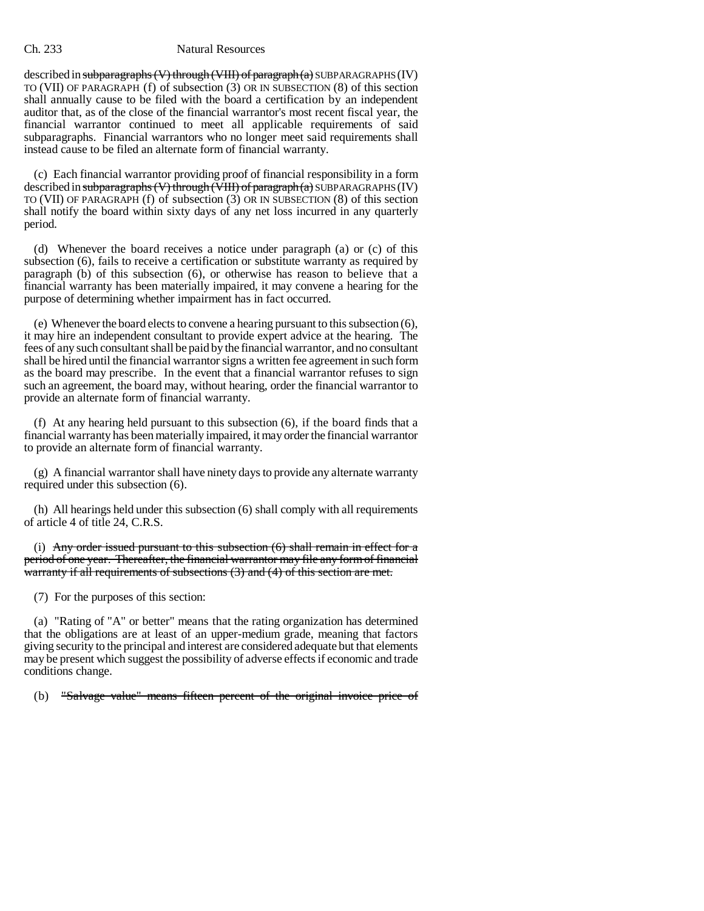#### Ch. 233 Natural Resources

described in subparagraphs (V) through (VIII) of paragraph  $(a)$  SUBPARAGRAPHS (IV) TO (VII) OF PARAGRAPH (f) of subsection (3) OR IN SUBSECTION (8) of this section shall annually cause to be filed with the board a certification by an independent auditor that, as of the close of the financial warrantor's most recent fiscal year, the financial warrantor continued to meet all applicable requirements of said subparagraphs. Financial warrantors who no longer meet said requirements shall instead cause to be filed an alternate form of financial warranty.

(c) Each financial warrantor providing proof of financial responsibility in a form described in subparagraphs  $(V)$  through  $(VIII)$  of paragraph $(a)$  SUBPARAGRAPHS (IV) TO (VII) OF PARAGRAPH (f) of subsection (3) OR IN SUBSECTION (8) of this section shall notify the board within sixty days of any net loss incurred in any quarterly period.

(d) Whenever the board receives a notice under paragraph (a) or (c) of this subsection (6), fails to receive a certification or substitute warranty as required by paragraph (b) of this subsection (6), or otherwise has reason to believe that a financial warranty has been materially impaired, it may convene a hearing for the purpose of determining whether impairment has in fact occurred.

(e) Whenever the board elects to convene a hearing pursuant to this subsection (6), it may hire an independent consultant to provide expert advice at the hearing. The fees of any such consultant shall be paid by the financial warrantor, and no consultant shall be hired until the financial warrantor signs a written fee agreement in such form as the board may prescribe. In the event that a financial warrantor refuses to sign such an agreement, the board may, without hearing, order the financial warrantor to provide an alternate form of financial warranty.

(f) At any hearing held pursuant to this subsection (6), if the board finds that a financial warranty has been materially impaired, it may order the financial warrantor to provide an alternate form of financial warranty.

(g) A financial warrantor shall have ninety days to provide any alternate warranty required under this subsection (6).

(h) All hearings held under this subsection (6) shall comply with all requirements of article 4 of title 24, C.R.S.

(i) Any order issued pursuant to this subsection  $(6)$  shall remain in effect for a period of one year. Thereafter, the financial warrantor may file any form of financial warranty if all requirements of subsections (3) and (4) of this section are met.

(7) For the purposes of this section:

(a) "Rating of "A" or better" means that the rating organization has determined that the obligations are at least of an upper-medium grade, meaning that factors giving security to the principal and interest are considered adequate but that elements may be present which suggest the possibility of adverse effects if economic and trade conditions change.

(b) "Salvage value" means fifteen percent of the original invoice price of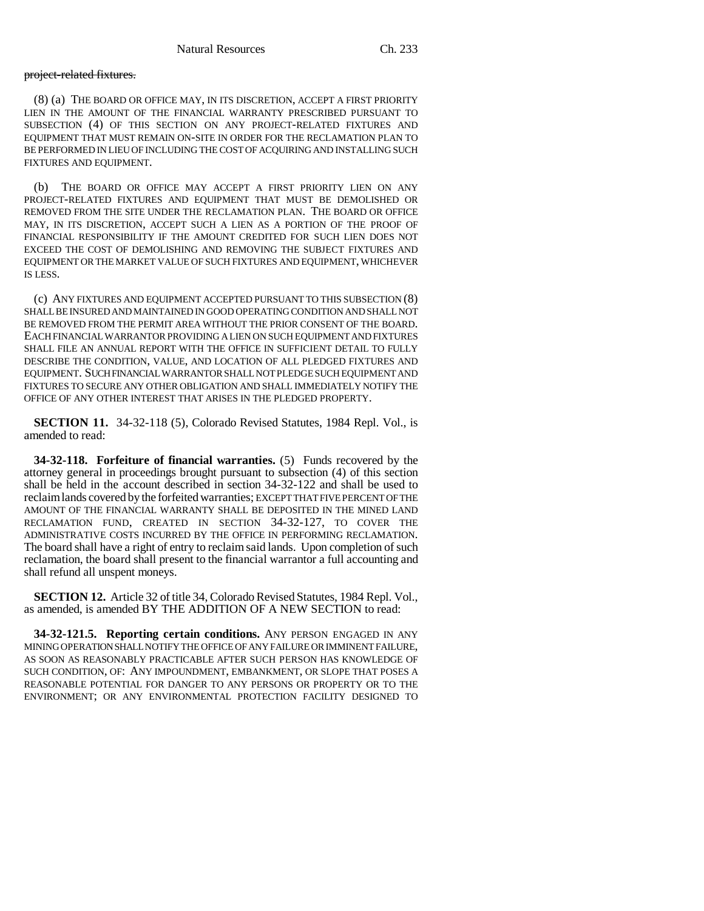### project-related fixtures.

(8) (a) THE BOARD OR OFFICE MAY, IN ITS DISCRETION, ACCEPT A FIRST PRIORITY LIEN IN THE AMOUNT OF THE FINANCIAL WARRANTY PRESCRIBED PURSUANT TO SUBSECTION (4) OF THIS SECTION ON ANY PROJECT-RELATED FIXTURES AND EQUIPMENT THAT MUST REMAIN ON-SITE IN ORDER FOR THE RECLAMATION PLAN TO BE PERFORMED IN LIEU OF INCLUDING THE COST OF ACQUIRING AND INSTALLING SUCH FIXTURES AND EQUIPMENT.

(b) THE BOARD OR OFFICE MAY ACCEPT A FIRST PRIORITY LIEN ON ANY PROJECT-RELATED FIXTURES AND EQUIPMENT THAT MUST BE DEMOLISHED OR REMOVED FROM THE SITE UNDER THE RECLAMATION PLAN. THE BOARD OR OFFICE MAY, IN ITS DISCRETION, ACCEPT SUCH A LIEN AS A PORTION OF THE PROOF OF FINANCIAL RESPONSIBILITY IF THE AMOUNT CREDITED FOR SUCH LIEN DOES NOT EXCEED THE COST OF DEMOLISHING AND REMOVING THE SUBJECT FIXTURES AND EQUIPMENT OR THE MARKET VALUE OF SUCH FIXTURES AND EQUIPMENT, WHICHEVER IS LESS.

(c) ANY FIXTURES AND EQUIPMENT ACCEPTED PURSUANT TO THIS SUBSECTION (8) SHALL BE INSURED AND MAINTAINED IN GOOD OPERATING CONDITION AND SHALL NOT BE REMOVED FROM THE PERMIT AREA WITHOUT THE PRIOR CONSENT OF THE BOARD. EACH FINANCIAL WARRANTOR PROVIDING A LIEN ON SUCH EQUIPMENT AND FIXTURES SHALL FILE AN ANNUAL REPORT WITH THE OFFICE IN SUFFICIENT DETAIL TO FULLY DESCRIBE THE CONDITION, VALUE, AND LOCATION OF ALL PLEDGED FIXTURES AND EQUIPMENT. SUCH FINANCIAL WARRANTOR SHALL NOT PLEDGE SUCH EQUIPMENT AND FIXTURES TO SECURE ANY OTHER OBLIGATION AND SHALL IMMEDIATELY NOTIFY THE OFFICE OF ANY OTHER INTEREST THAT ARISES IN THE PLEDGED PROPERTY.

**SECTION 11.** 34-32-118 (5), Colorado Revised Statutes, 1984 Repl. Vol., is amended to read:

**34-32-118. Forfeiture of financial warranties.** (5) Funds recovered by the attorney general in proceedings brought pursuant to subsection (4) of this section shall be held in the account described in section 34-32-122 and shall be used to reclaim lands covered by the forfeited warranties; EXCEPT THAT FIVE PERCENT OF THE AMOUNT OF THE FINANCIAL WARRANTY SHALL BE DEPOSITED IN THE MINED LAND RECLAMATION FUND, CREATED IN SECTION 34-32-127, TO COVER THE ADMINISTRATIVE COSTS INCURRED BY THE OFFICE IN PERFORMING RECLAMATION. The board shall have a right of entry to reclaim said lands. Upon completion of such reclamation, the board shall present to the financial warrantor a full accounting and shall refund all unspent moneys.

**SECTION 12.** Article 32 of title 34, Colorado Revised Statutes, 1984 Repl. Vol., as amended, is amended BY THE ADDITION OF A NEW SECTION to read:

**34-32-121.5. Reporting certain conditions.** ANY PERSON ENGAGED IN ANY MINING OPERATION SHALL NOTIFY THE OFFICE OF ANY FAILURE OR IMMINENT FAILURE, AS SOON AS REASONABLY PRACTICABLE AFTER SUCH PERSON HAS KNOWLEDGE OF SUCH CONDITION, OF: ANY IMPOUNDMENT, EMBANKMENT, OR SLOPE THAT POSES A REASONABLE POTENTIAL FOR DANGER TO ANY PERSONS OR PROPERTY OR TO THE ENVIRONMENT; OR ANY ENVIRONMENTAL PROTECTION FACILITY DESIGNED TO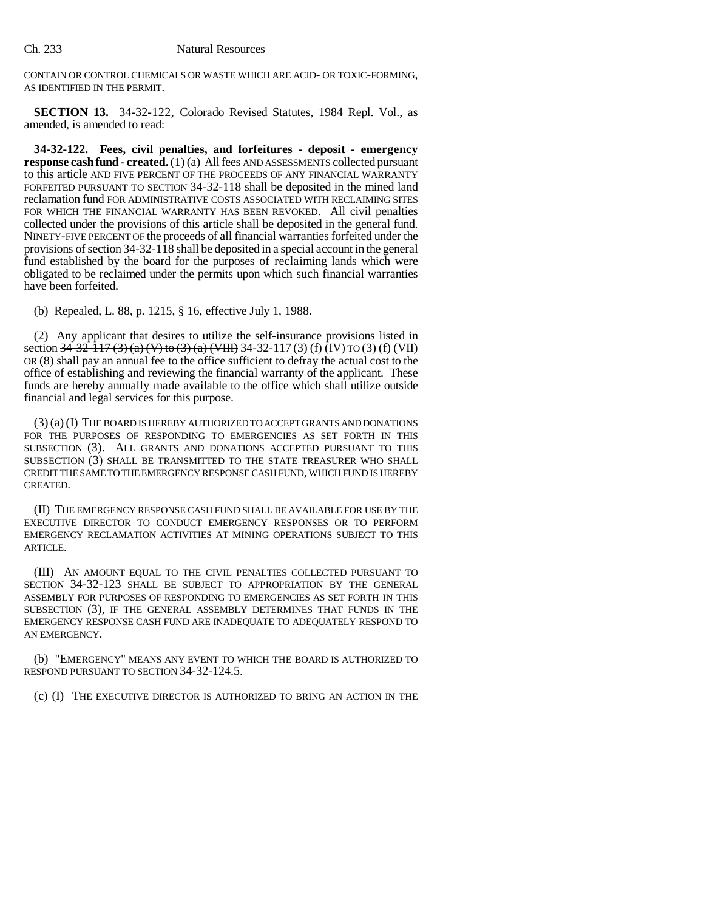CONTAIN OR CONTROL CHEMICALS OR WASTE WHICH ARE ACID- OR TOXIC-FORMING, AS IDENTIFIED IN THE PERMIT.

**SECTION 13.** 34-32-122, Colorado Revised Statutes, 1984 Repl. Vol., as amended, is amended to read:

**34-32-122. Fees, civil penalties, and forfeitures - deposit - emergency response cash fund - created.** (1) (a) All fees AND ASSESSMENTS collected pursuant to this article AND FIVE PERCENT OF THE PROCEEDS OF ANY FINANCIAL WARRANTY FORFEITED PURSUANT TO SECTION 34-32-118 shall be deposited in the mined land reclamation fund FOR ADMINISTRATIVE COSTS ASSOCIATED WITH RECLAIMING SITES FOR WHICH THE FINANCIAL WARRANTY HAS BEEN REVOKED. All civil penalties collected under the provisions of this article shall be deposited in the general fund. NINETY-FIVE PERCENT OF the proceeds of all financial warranties forfeited under the provisions of section 34-32-118 shall be deposited in a special account in the general fund established by the board for the purposes of reclaiming lands which were obligated to be reclaimed under the permits upon which such financial warranties have been forfeited.

(b) Repealed, L. 88, p. 1215, § 16, effective July 1, 1988.

(2) Any applicant that desires to utilize the self-insurance provisions listed in section  $34-32-117$  (3) (a) (V) to (3) (a) (VIII) 34-32-117 (3) (f) (IV) TO (3) (f) (VII) OR (8) shall pay an annual fee to the office sufficient to defray the actual cost to the office of establishing and reviewing the financial warranty of the applicant. These funds are hereby annually made available to the office which shall utilize outside financial and legal services for this purpose.

(3) (a) (I) THE BOARD IS HEREBY AUTHORIZED TO ACCEPT GRANTS AND DONATIONS FOR THE PURPOSES OF RESPONDING TO EMERGENCIES AS SET FORTH IN THIS SUBSECTION (3). ALL GRANTS AND DONATIONS ACCEPTED PURSUANT TO THIS SUBSECTION (3) SHALL BE TRANSMITTED TO THE STATE TREASURER WHO SHALL CREDIT THE SAME TO THE EMERGENCY RESPONSE CASH FUND, WHICH FUND IS HEREBY CREATED.

(II) THE EMERGENCY RESPONSE CASH FUND SHALL BE AVAILABLE FOR USE BY THE EXECUTIVE DIRECTOR TO CONDUCT EMERGENCY RESPONSES OR TO PERFORM EMERGENCY RECLAMATION ACTIVITIES AT MINING OPERATIONS SUBJECT TO THIS ARTICLE.

(III) AN AMOUNT EQUAL TO THE CIVIL PENALTIES COLLECTED PURSUANT TO SECTION 34-32-123 SHALL BE SUBJECT TO APPROPRIATION BY THE GENERAL ASSEMBLY FOR PURPOSES OF RESPONDING TO EMERGENCIES AS SET FORTH IN THIS SUBSECTION (3), IF THE GENERAL ASSEMBLY DETERMINES THAT FUNDS IN THE EMERGENCY RESPONSE CASH FUND ARE INADEQUATE TO ADEQUATELY RESPOND TO AN EMERGENCY.

(b) "EMERGENCY" MEANS ANY EVENT TO WHICH THE BOARD IS AUTHORIZED TO RESPOND PURSUANT TO SECTION 34-32-124.5.

(c) (I) THE EXECUTIVE DIRECTOR IS AUTHORIZED TO BRING AN ACTION IN THE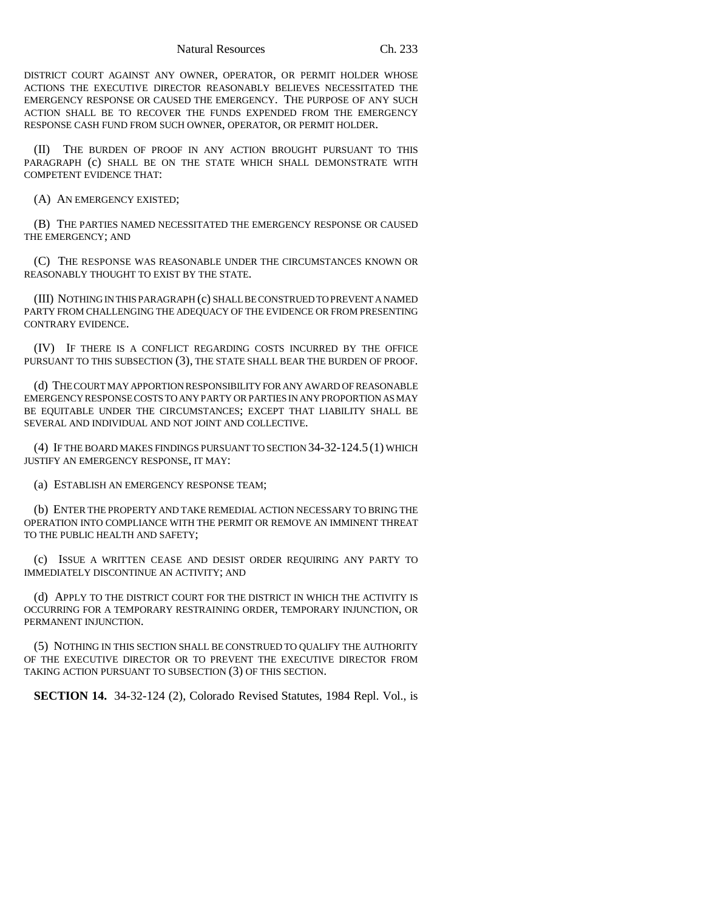DISTRICT COURT AGAINST ANY OWNER, OPERATOR, OR PERMIT HOLDER WHOSE ACTIONS THE EXECUTIVE DIRECTOR REASONABLY BELIEVES NECESSITATED THE EMERGENCY RESPONSE OR CAUSED THE EMERGENCY. THE PURPOSE OF ANY SUCH ACTION SHALL BE TO RECOVER THE FUNDS EXPENDED FROM THE EMERGENCY RESPONSE CASH FUND FROM SUCH OWNER, OPERATOR, OR PERMIT HOLDER.

(II) THE BURDEN OF PROOF IN ANY ACTION BROUGHT PURSUANT TO THIS PARAGRAPH (c) SHALL BE ON THE STATE WHICH SHALL DEMONSTRATE WITH COMPETENT EVIDENCE THAT:

(A) AN EMERGENCY EXISTED;

(B) THE PARTIES NAMED NECESSITATED THE EMERGENCY RESPONSE OR CAUSED THE EMERGENCY; AND

(C) THE RESPONSE WAS REASONABLE UNDER THE CIRCUMSTANCES KNOWN OR REASONABLY THOUGHT TO EXIST BY THE STATE.

(III) NOTHING IN THIS PARAGRAPH (c) SHALL BE CONSTRUED TO PREVENT A NAMED PARTY FROM CHALLENGING THE ADEQUACY OF THE EVIDENCE OR FROM PRESENTING CONTRARY EVIDENCE.

(IV) IF THERE IS A CONFLICT REGARDING COSTS INCURRED BY THE OFFICE PURSUANT TO THIS SUBSECTION (3), THE STATE SHALL BEAR THE BURDEN OF PROOF.

(d) THE COURT MAY APPORTION RESPONSIBILITY FOR ANY AWARD OF REASONABLE EMERGENCY RESPONSE COSTS TO ANY PARTY OR PARTIES IN ANY PROPORTION AS MAY BE EQUITABLE UNDER THE CIRCUMSTANCES; EXCEPT THAT LIABILITY SHALL BE SEVERAL AND INDIVIDUAL AND NOT JOINT AND COLLECTIVE.

(4) IF THE BOARD MAKES FINDINGS PURSUANT TO SECTION 34-32-124.5 (1) WHICH JUSTIFY AN EMERGENCY RESPONSE, IT MAY:

(a) ESTABLISH AN EMERGENCY RESPONSE TEAM;

(b) ENTER THE PROPERTY AND TAKE REMEDIAL ACTION NECESSARY TO BRING THE OPERATION INTO COMPLIANCE WITH THE PERMIT OR REMOVE AN IMMINENT THREAT TO THE PUBLIC HEALTH AND SAFETY;

(c) ISSUE A WRITTEN CEASE AND DESIST ORDER REQUIRING ANY PARTY TO IMMEDIATELY DISCONTINUE AN ACTIVITY; AND

(d) APPLY TO THE DISTRICT COURT FOR THE DISTRICT IN WHICH THE ACTIVITY IS OCCURRING FOR A TEMPORARY RESTRAINING ORDER, TEMPORARY INJUNCTION, OR PERMANENT INJUNCTION.

(5) NOTHING IN THIS SECTION SHALL BE CONSTRUED TO QUALIFY THE AUTHORITY OF THE EXECUTIVE DIRECTOR OR TO PREVENT THE EXECUTIVE DIRECTOR FROM TAKING ACTION PURSUANT TO SUBSECTION (3) OF THIS SECTION.

**SECTION 14.** 34-32-124 (2), Colorado Revised Statutes, 1984 Repl. Vol., is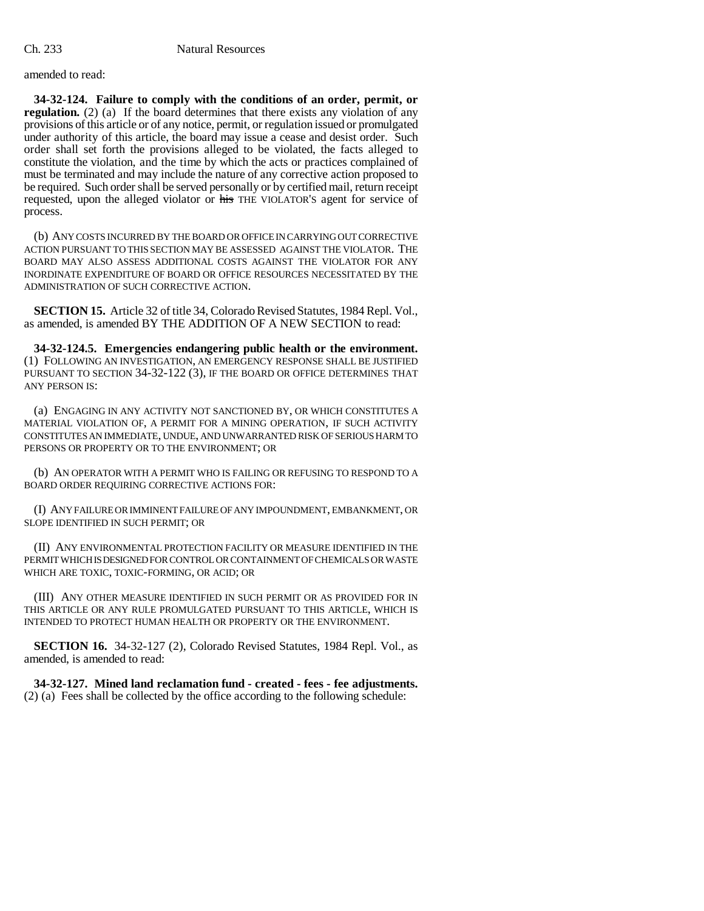amended to read:

**34-32-124. Failure to comply with the conditions of an order, permit, or regulation.** (2) (a) If the board determines that there exists any violation of any provisions of this article or of any notice, permit, or regulation issued or promulgated under authority of this article, the board may issue a cease and desist order. Such order shall set forth the provisions alleged to be violated, the facts alleged to constitute the violation, and the time by which the acts or practices complained of must be terminated and may include the nature of any corrective action proposed to be required. Such order shall be served personally or by certified mail, return receipt requested, upon the alleged violator or his THE VIOLATOR'S agent for service of process.

(b) ANY COSTS INCURRED BY THE BOARD OR OFFICE IN CARRYING OUT CORRECTIVE ACTION PURSUANT TO THIS SECTION MAY BE ASSESSED AGAINST THE VIOLATOR. THE BOARD MAY ALSO ASSESS ADDITIONAL COSTS AGAINST THE VIOLATOR FOR ANY INORDINATE EXPENDITURE OF BOARD OR OFFICE RESOURCES NECESSITATED BY THE ADMINISTRATION OF SUCH CORRECTIVE ACTION.

**SECTION 15.** Article 32 of title 34, Colorado Revised Statutes, 1984 Repl. Vol., as amended, is amended BY THE ADDITION OF A NEW SECTION to read:

**34-32-124.5. Emergencies endangering public health or the environment.** (1) FOLLOWING AN INVESTIGATION, AN EMERGENCY RESPONSE SHALL BE JUSTIFIED PURSUANT TO SECTION 34-32-122 (3), IF THE BOARD OR OFFICE DETERMINES THAT ANY PERSON IS:

(a) ENGAGING IN ANY ACTIVITY NOT SANCTIONED BY, OR WHICH CONSTITUTES A MATERIAL VIOLATION OF, A PERMIT FOR A MINING OPERATION, IF SUCH ACTIVITY CONSTITUTES AN IMMEDIATE, UNDUE, AND UNWARRANTED RISK OF SERIOUS HARM TO PERSONS OR PROPERTY OR TO THE ENVIRONMENT; OR

(b) AN OPERATOR WITH A PERMIT WHO IS FAILING OR REFUSING TO RESPOND TO A BOARD ORDER REQUIRING CORRECTIVE ACTIONS FOR:

(I) ANY FAILURE OR IMMINENT FAILURE OF ANY IMPOUNDMENT, EMBANKMENT, OR SLOPE IDENTIFIED IN SUCH PERMIT; OR

(II) ANY ENVIRONMENTAL PROTECTION FACILITY OR MEASURE IDENTIFIED IN THE PERMIT WHICH IS DESIGNED FOR CONTROL OR CONTAINMENT OF CHEMICALS OR WASTE WHICH ARE TOXIC, TOXIC-FORMING, OR ACID; OR

(III) ANY OTHER MEASURE IDENTIFIED IN SUCH PERMIT OR AS PROVIDED FOR IN THIS ARTICLE OR ANY RULE PROMULGATED PURSUANT TO THIS ARTICLE, WHICH IS INTENDED TO PROTECT HUMAN HEALTH OR PROPERTY OR THE ENVIRONMENT.

**SECTION 16.** 34-32-127 (2), Colorado Revised Statutes, 1984 Repl. Vol., as amended, is amended to read:

**34-32-127. Mined land reclamation fund - created - fees - fee adjustments.** (2) (a) Fees shall be collected by the office according to the following schedule: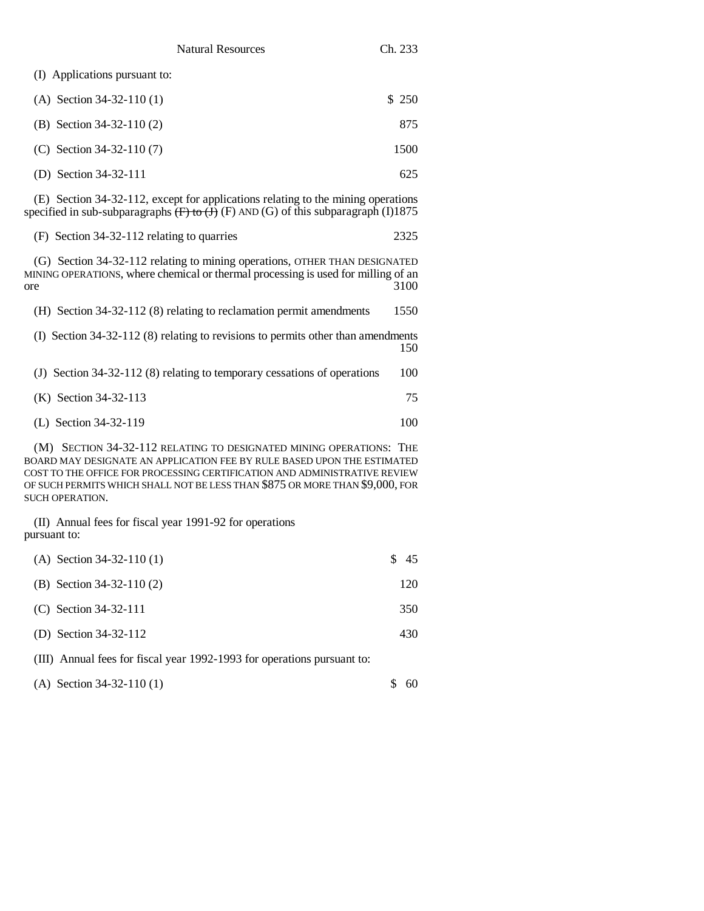(I) Applications pursuant to:

| (A) Section $34-32-110(1)$ | \$ 250 |
|----------------------------|--------|
| (B) Section $34-32-110(2)$ | 875    |
| (C) Section $34-32-110(7)$ | 1500   |

(D) Section 34-32-111 625

(E) Section 34-32-112, except for applications relating to the mining operations specified in sub-subparagraphs  $\overline{(F)}$  to  $\overline{(J)}$  (F) AND (G) of this subparagraph (I)1875

|  | (F) Section 34-32-112 relating to quarries |  |
|--|--------------------------------------------|--|
|--|--------------------------------------------|--|

(G) Section 34-32-112 relating to mining operations, OTHER THAN DESIGNATED MINING OPERATIONS, where chemical or thermal processing is used for milling of an ore 3100 ore 3100

| (H) Section $34-32-112$ (8) relating to reclamation permit amendments              | 1550 |
|------------------------------------------------------------------------------------|------|
| (I) Section $34-32-112$ (8) relating to revisions to permits other than amendments | 150  |

|  | (J) Section 34-32-112 (8) relating to temporary cessations of operations | 100 |
|--|--------------------------------------------------------------------------|-----|
|--|--------------------------------------------------------------------------|-----|

(L) Section 34-32-119 100

(M) SECTION 34-32-112 RELATING TO DESIGNATED MINING OPERATIONS: THE BOARD MAY DESIGNATE AN APPLICATION FEE BY RULE BASED UPON THE ESTIMATED COST TO THE OFFICE FOR PROCESSING CERTIFICATION AND ADMINISTRATIVE REVIEW OF SUCH PERMITS WHICH SHALL NOT BE LESS THAN \$875 OR MORE THAN \$9,000, FOR SUCH OPERATION.

(II) Annual fees for fiscal year 1991-92 for operations pursuant to:

| (A) Section $34-32-110(1)$  | \$45 |
|-----------------------------|------|
| (B) Section 34-32-110 $(2)$ | 120  |
| (C) Section $34-32-111$     | 350  |
| (D) Section $34-32-112$     | 430  |
|                             |      |

(III) Annual fees for fiscal year 1992-1993 for operations pursuant to:

| (A) Section $34-32-110(1)$ |  | \$60 |
|----------------------------|--|------|
|----------------------------|--|------|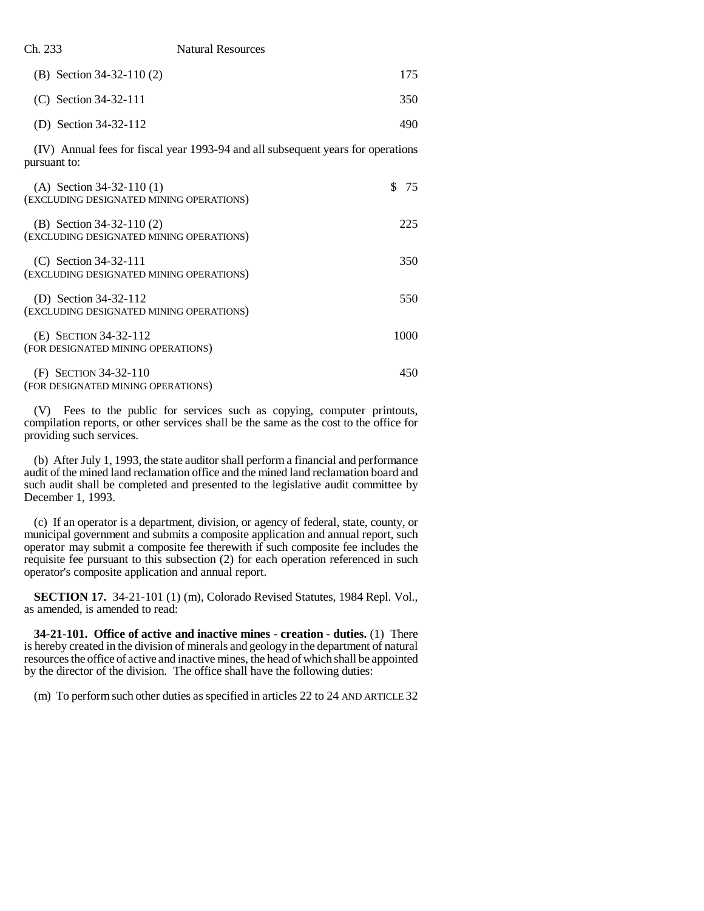|  | Ch. 233 | <b>Natural Resources</b> |
|--|---------|--------------------------|
|--|---------|--------------------------|

| (B) Section $34-32-110(2)$ | 175. |
|----------------------------|------|
| (C) Section 34-32-111      | 350  |
| (D) Section $34-32-112$    | 490  |

(IV) Annual fees for fiscal year 1993-94 and all subsequent years for operations pursuant to:

| (A) Section $34-32-110(1)$<br>(EXCLUDING DESIGNATED MINING OPERATIONS) | 75   |
|------------------------------------------------------------------------|------|
| (B) Section $34-32-110(2)$<br>(EXCLUDING DESIGNATED MINING OPERATIONS) | 225  |
| (C) Section $34-32-111$<br>(EXCLUDING DESIGNATED MINING OPERATIONS)    | 350  |
| (D) Section 34-32-112<br>(EXCLUDING DESIGNATED MINING OPERATIONS)      | 550  |
| (E) SECTION 34-32-112<br>(FOR DESIGNATED MINING OPERATIONS)            | 1000 |
| (F) SECTION 34-32-110<br>(FOR DESIGNATED MINING OPERATIONS)            | 450  |

(V) Fees to the public for services such as copying, computer printouts, compilation reports, or other services shall be the same as the cost to the office for providing such services.

(b) After July 1, 1993, the state auditor shall perform a financial and performance audit of the mined land reclamation office and the mined land reclamation board and such audit shall be completed and presented to the legislative audit committee by December 1, 1993.

(c) If an operator is a department, division, or agency of federal, state, county, or municipal government and submits a composite application and annual report, such operator may submit a composite fee therewith if such composite fee includes the requisite fee pursuant to this subsection (2) for each operation referenced in such operator's composite application and annual report.

**SECTION 17.** 34-21-101 (1) (m), Colorado Revised Statutes, 1984 Repl. Vol., as amended, is amended to read:

**34-21-101. Office of active and inactive mines - creation - duties.** (1) There is hereby created in the division of minerals and geology in the department of natural resources the office of active and inactive mines, the head of which shall be appointed by the director of the division. The office shall have the following duties:

(m) To perform such other duties as specified in articles 22 to 24 AND ARTICLE 32